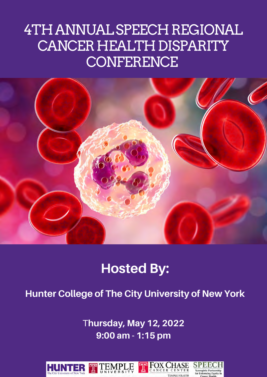### 4TH ANNUAL SPEECH REGIONAL CANCER HEALTH DISPARITY **CONFERENCE**



#### **Hosted by: Hunter College of The City University of New York Hosted By:**

### **Hunter College of The City University of New York**

**9:00 am - 1:15 pm** T**hursday, May 12, 2022 9:00 am - 1:15 pm**

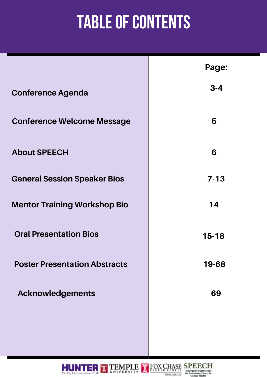# **Table of Contents**

|                                      | Page:     |
|--------------------------------------|-----------|
| <b>Conference Agenda</b>             | $3 - 4$   |
| <b>Conference Welcome Message</b>    | 5         |
| <b>About SPEECH</b>                  | 6         |
| <b>General Session Speaker Bios</b>  | $7 - 13$  |
| <b>Mentor Training Workshop Bio</b>  | 14        |
| <b>Oral Presentation Bios</b>        | $15 - 18$ |
| <b>Poster Presentation Abstracts</b> | 19-68     |
| <b>Acknowledgements</b>              | 69        |
|                                      |           |



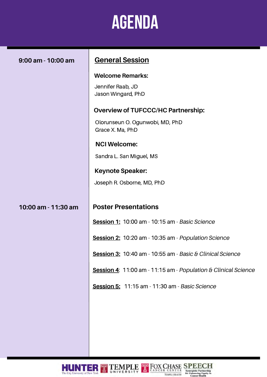# **AGENDA**

 $\overline{\phantom{0}}$ 

| 9:00 am - 10:00 am  | <b>General Session</b>                                                                                                                                                                                                                                                                                                |
|---------------------|-----------------------------------------------------------------------------------------------------------------------------------------------------------------------------------------------------------------------------------------------------------------------------------------------------------------------|
|                     | <b>Welcome Remarks:</b><br>Jennifer Raab, JD<br>Jason Wingard, PhD<br><b>Overview of TUFCCC/HC Partnership:</b><br>Olorunseun O. Ogunwobi, MD, PhD<br>Grace X. Ma, PhD<br><b>NCI Welcome:</b><br>Sandra L. San Miguel, MS<br><b>Keynote Speaker:</b><br>Joseph R. Osborne, MD, PhD                                    |
| 10:00 am - 11:30 am | <b>Poster Presentations</b><br>Session 1: 10:00 am - 10:15 am - Basic Science<br>Session 2: 10:20 am - 10:35 am - Population Science<br>Session 3: 10:40 am - 10:55 am - Basic & Clinical Science<br>Session 4: 11:00 am - 11:15 am - Population & Clinical Science<br>Session 5: 11:15 am - 11:30 am - Basic Science |
|                     |                                                                                                                                                                                                                                                                                                                       |

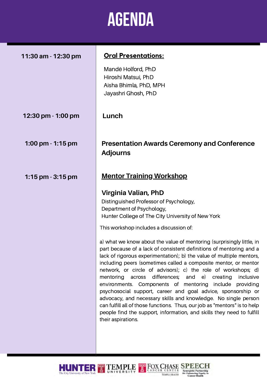### **Agenda**

| 11:30 am - 12:30 pm | <u> Oral Presentations:</u>                                                                                                                                                                                                                                                                                                                                                                                                                                                                                                                                                                                                                                                                                                                                                                                                                                                                                                                                                                                 |
|---------------------|-------------------------------------------------------------------------------------------------------------------------------------------------------------------------------------------------------------------------------------------------------------------------------------------------------------------------------------------------------------------------------------------------------------------------------------------------------------------------------------------------------------------------------------------------------------------------------------------------------------------------------------------------------------------------------------------------------------------------------------------------------------------------------------------------------------------------------------------------------------------------------------------------------------------------------------------------------------------------------------------------------------|
|                     | Mandë Holford, PhD<br>Hiroshi Matsui, PhD<br>Aisha Bhimla, PhD, MPH<br>Jayashri Ghosh, PhD                                                                                                                                                                                                                                                                                                                                                                                                                                                                                                                                                                                                                                                                                                                                                                                                                                                                                                                  |
| 12:30 pm - 1:00 pm  | Lunch                                                                                                                                                                                                                                                                                                                                                                                                                                                                                                                                                                                                                                                                                                                                                                                                                                                                                                                                                                                                       |
| 1:00 pm - 1:15 pm   | <b>Presentation Awards Ceremony and Conference</b><br><b>Adjourns</b>                                                                                                                                                                                                                                                                                                                                                                                                                                                                                                                                                                                                                                                                                                                                                                                                                                                                                                                                       |
| 1:15 pm - 3:15 pm   | <b>Mentor Training Workshop</b><br>Virginia Valian, PhD<br>Distinguished Professor of Psychology,<br>Department of Psychology,<br>Hunter College of The City University of New York<br>This workshop includes a discussion of:<br>a) what we know about the value of mentoring (surprisingly little, in<br>part because of a lack of consistent definitions of mentoring and a<br>lack of rigorous experimentation); b) the value of multiple mentors,<br>including peers (sometimes called a composite mentor, or mentor<br>network, or circle of advisors); c) the role of workshops; d)<br>mentoring across differences; and e) creating<br>inclusive<br>environments. Components of mentoring include providing<br>psychosocial support, career and goal advice, sponsorship or<br>advocacy, and necessary skills and knowledge. No single person<br>can fulfill all of those functions. Thus, our job as "mentors" is to help<br>people find the support, information, and skills they need to fulfill |
|                     | their aspirations.                                                                                                                                                                                                                                                                                                                                                                                                                                                                                                                                                                                                                                                                                                                                                                                                                                                                                                                                                                                          |

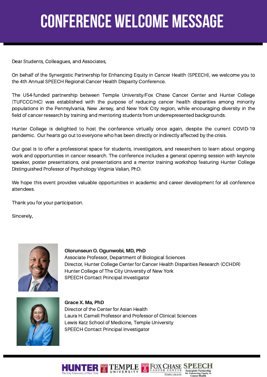# **Conference welcome message**

Dear Students, Colleagues, and Associates,

On behalf of the Synergistic Partnership for Enhancing Equity in Cancer Health (SPEECH), we welcome you to the 4th Annual SPEECH Regional Cancer Health Disparity Conference.

The U54-funded partnership between Temple University/Fox Chase Cancer Center and Hunter College (TUFCCC/HC) was established with the purpose of reducing cancer health disparities among minority populations in the Pennsylvania, New Jersey, and New York City region, while encouraging diversity in the field of cancer research by training and mentoring students from underrepresented backgrounds.

Hunter College is delighted to host the conference virtually once again, despite the current COVID-19 pandemic. Our hearts go out to everyone who has been directly or indirectly affected by the crisis.

Our goal is to offer a professional space for students, investigators, and researchers to learn about ongoing work and opportunities in cancer research. The conference includes a general opening session with keynote speaker, poster presentations, oral presentations and a mentor training workshop featuring Hunter College Distinguished Professor of Psychology Virginia Valian, PhD.

We hope this event provides valuable opportunities in academic and career development for all conference attendees.

Thank you for your participation.

Sincerely,



**Olorunseun O. Ogunwobi, MD, PhD** Associate Professor, Department of Biological Sciences Director, Hunter College Center for Cancer Health Disparities Research (CCHDR) Hunter College of The City University of New York SPEECH Contact Principal Investigator



**Grace X. Ma, PhD** Director of the Center for Asian Health Laura H. Carnell Professor and Professor of Clinical Sciences Lewis Katz School of Medicine, Temple University SPEECH Contact Principal Investigator

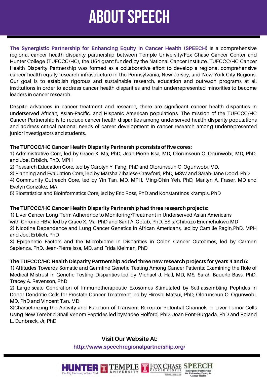# **about speech**

**The Synergistic Partnership for Enhancing Equity in Cancer Health (SPEECH**) is a comprehensive regional cancer health disparity partnership between Temple University/Fox Chase Cancer Center and Hunter College (TUFCCC/HC), the U54 grant funded by the National Cancer Institute. TUFCCC/HC Cancer Health Disparity Partnership was formed as a collaborative effort to develop a regional comprehensive cancer health equity research infrastructure in the Pennsylvania, New Jersey, and New York City Regions. Our goal is to establish rigorous and sustainable research, education and outreach programs at all institutions in order to address cancer health disparities and train underrepresented minorities to become leaders in cancer research.

Despite advances in cancer treatment and research, there are significant cancer health disparities in underserved African, Asian-Pacific, and Hispanic American populations. The mission of the TUFCCC/HC Cancer Partnership is to reduce cancer health disparities among underserved health disparity populations and address critical national needs of career development in cancer research among underrepresented junior investigators and students.

#### **The TUFCCC/HC Cancer Health Disparity Partnership consists of five cores:**

1) Administrative Core, led by Grace X. Ma, PhD, Jean-Pierre Issa, MD, Olorunseun O. Ogunwobi, MD, PhD, and Joel Erblich, PhD, MPH

2) Research Education Core, led by Carolyn Y. Fang, PhD and Olorunseun O. Ogunwobi, MD,

3) Planning and Evaluation Core, led by Marsha Zibalese-Crawford, PhD, MSW and Sarah-Jane Dodd, PhD

4) Community Outreach Core, led by Yin Tan, MD, MPH, Ming-Chin Yeh, PhD, Marilyn A. Fraser, MD and Evelyn González, MA

5) Biostatistics and Bioinformatics Core, led by Eric Ross, PhD and Konstantinos Krampis, PhD

#### **The TUFCCC/HC Cancer Health Disparity Partnership had three research projects:**

1) Liver Cancer Long-Term Adherence to Monitoring/Treatment in Underserved Asian Americans with Chronic HBV, led by Grace X. Ma, PhD and Sarit A. Golub, PhD. ESIs: Chibuzo Enemchukwu,MD 2) Nicotine Dependence and Lung Cancer Genetics in African Americans, led by Camille Ragin,PhD, MPH and Joel Erblich, PhD

3) Epigenetic Factors and the Microbiome in Disparities in Colon Cancer Outcomes, led by Carmen Sapienza, PhD, Jean-Pierre Issa, MD, and Frida Kleiman, PhD

#### **The TUFCCC/HC Health Disparity Partnership added three new research projects for years 4 and 5:**

1) Attitudes Towards Somatic and Germline Genetic Testing Among Cancer Patients: Examining the Role of Medical Mistrust in Genetic Testing Disparities led by Michael J. Hall, MD, MS, Sarah Bauerle Bass, PhD, Tracey A. Revenson, PhD

2) Large-scale Generation of Immunotherapeutic Exosomes Stimulated by Self-assembling Peptides in Donor Dendritic Cells for Prostate Cancer Treatment led by Hiroshi Matsui, PhD, Olorunseun O. Ogunwobi, MD, PhD and Vincent Tan, MD

3)Characterizing the Activity and Function of Transient Receptor Potential Channels in Liver Tumor Cells Using New Terebrid Snail Venom Peptides led byMadee Holford, PhD, Joan Font-Burgada, PhD and Roland L. Dunbrack, Jr, PhD

#### **Visit Our Website At:**

**http://www.speechregionalpartnership.org/**

**HUNTER TEMPLE** 

T FOX CHASE SPE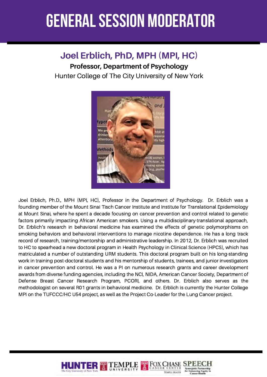### **general session moderator**

### **Joel Erblich, PhD, MPH (MPI, HC)**

**Professor, Department of Psychology**

Hunter College of The City University of New York



Joel Erblich, Ph.D., MPH (MPI, HC), Professor in the Department of Psychology. Dr. Erblich was a founding member of the Mount Sinai Tisch Cancer Institute and Institute for Translational Epidemiology at Mount Sinai, where he spent a decade focusing on cancer prevention and control related to genetic factors primarily impacting African American smokers. Using a multidisciplinary-translational approach, Dr. Erblich's research in behavioral medicine has examined the effects of genetic polymorphisms on smoking behaviors and behavioral interventions to manage nicotine dependence. He has a long track record of research, training/mentorship and administrative leadership. In 2012, Dr. Erblich was recruited to HC to spearhead a new doctoral program in Health Psychology in Clinical Science (HPCS), which has matriculated a number of outstanding URM students. This doctoral program built on his long-standing work in training post-doctoral students and his mentorship of students, trainees, and junior investigators in cancer prevention and control. He was a PI on numerous research grants and career development awards from diverse funding agencies, including the NCI, NIDA, American Cancer Society, Department of Defense Breast Cancer Research Program, PCORI, and others. Dr. Erblich also serves as the methodologist on several R01 grants in behavioral medicine. Dr. Erblich is currently the Hunter College MPI on the TUFCCC/HC U54 project, as well as the Project Co-Leader for the Lung Cancer project.

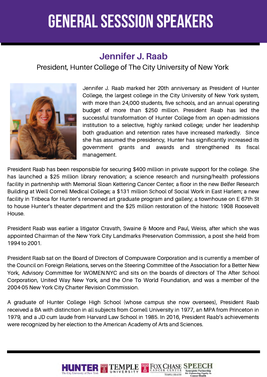### **Jennifer J. Raab**

President, Hunter College of The City University of New York



Jennifer J. Raab marked her 20th anniversary as President of Hunter College, the largest college in the City University of New York system, with more than 24,000 students, five schools, and an annual operating budget of more than \$250 million. President Raab has led the successful transformation of Hunter College from an open-admissions institution to a selective, highly ranked college; under her leadership both graduation and retention rates have increased markedly. Since she has assumed the presidency, Hunter has significantly increased its government grants and awards and strengthened its fiscal management.

President Raab has been responsible for securing \$400 million in private support for the college. She has launched a \$25 million library renovation; a science research and nursing/health professions facility in partnership with Memorial Sloan Kettering Cancer Center; a floor in the new Belfer Research Building at Weill Cornell Medical College; a \$131 million School of Social Work in East Harlem; a new facility in Tribeca for Hunter's renowned art graduate program and gallery; a townhouse on E 67th St to house Hunter's theater department and the \$25 million restoration of the historic 1908 Roosevelt House.

President Raab was earlier a litigator Cravath, Swaine & Moore and Paul, Weiss, after which she was appointed Chairman of the New York City Landmarks Preservation Commission, a post she held from 1994 to 2001.

President Raab sat on the Board of Directors of Compuware Corporation and is currently a member of the Council on Foreign Relations, serves on the Steering Committee of the Association for a Better New York, Advisory Committee for WOMEN.NYC and sits on the boards of directors of The After School Corporation, United Way New York, and the One To World Foundation, and was a member of the 2004-05 New York City Charter Revision Commission.

A graduate of Hunter College High School (whose campus she now oversees), President Raab received a BA with distinction in all subjects from Cornell University in 1977, an MPA from Princeton in 1979, and a JD cum laude from Harvard Law School in 1985. In 2016, President Raab's achievements were recognized by her election to the American Academy of Arts and Sciences.

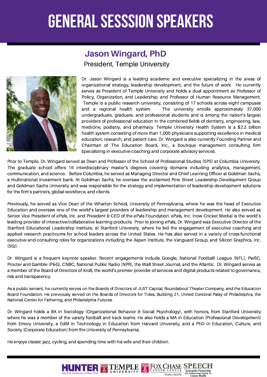### **Jason Wingard, PhD**

President, Temple University



Dr. Jason Wingard is a leading academic and executive specializing in the areas of organizational strategy, leadership development, and the future of work. He currently serves as President of Temple University and holds a dual appointment as Professor of Policy, Organization, and Leadership; and Professor of Human Resource Management. Temple is a public research university, consisting of 17 schools across eight campuses and a regional health system. The university enrolls approximately 37,000 undergraduate, graduate, and professional students and is among the nation's largest providers of professional education in the combined fields of dentistry, engineering, law, medicine, podiatry, and pharmacy. Temple University Health System is a \$2.2 billion health system consisting of more than 1,000 physicians supporting excellence in medical education, research, and patient care. Dr. Wingard is also currently Founding Partner and Chairman of The Education Board, Inc., a boutique management consulting firm specializing in executive coaching and corporate advisory services.

Prior to Temple, Dr. Wingard served as Dean and Professor of the School of Professional Studies (SPS) at Columbia University. The graduate school offers 16 interdisciplinary master's degrees covering domains including analytics, management, communication, and science. Before Columbia, he served as Managing Director and Chief Learning Officer at Goldman Sachs, a multinational investment bank. At Goldman Sachs, he oversaw the acclaimed Pine Street Leadership Development Group and Goldman Sachs University and was responsible for the strategy and implementation of leadership development solutions for the firm's partners, global workforce, and clients.

Previously, he served as Vice Dean of the Wharton School, University of Pennsylvania, where he was the head of Executive Education and oversaw one of the world's largest providers of leadership and management development. He also served as Senior Vice President of ePals, Inc. and President & CEO of the ePals Foundation. ePals, Inc. (now Cricket Media) is the world's leading provider of interactive/collaborative learning products. Prior to joining ePals, Dr. Wingard was Executive Director of the Stanford Educational Leadership Institute, at Stanford University, where he led the engagement of executive coaching and applied research practicums for school leaders across the United States. He has also served in a variety of cross-functional executive and consulting roles for organizations including the Aspen Institute, the Vanguard Group, and Silicon Graphics, Inc. (SGI).

Dr. Wingard is a frequent keynote speaker. Recent engagements include Google, National Football League (NFL), PwßC, Procter and Gamble (P&G), CNBC, National Public Radio (NPR), the Wall Street Journal, and the Atlantic. Dr. Wingard serves as a member of the Board of Directors of Kroll, the world's premier provider of services and digital products related to governance, risk and transparency.

As a public servant, he currently serves on the Boards of Directors of JUST Capital, Roundabout Theater Company, and the Education Board Foundation. He previously served on the Boards of Directors for Tides, Building 21, United Cerebral Palsy of Philadelphia, the National Center for Fathering, and Philadelphia Futures.

Dr. Wingard holds a BA in Sociology (Organizational Behavior & Social Psychology), with honors, from Stanford University where he was a member of the varsity football and track teams. He also holds a MA in Education (Professional Development) from Emory University, a EdM in Technology in Education from Harvard University, and a PhD in Education, Culture, and Society (Corporate Education) from the University of Pennsylvania.

He enjoys classic jazz, cycling, and spending time with his wife and their children.

**HUNTER TEMPLE**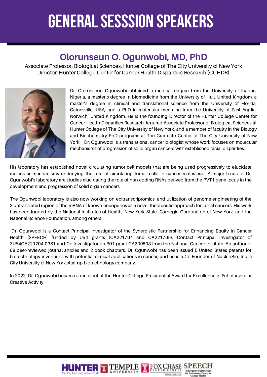### **Olorunseun O. Ogunwobi, MD, PhD**

Associate Professor, Biological Sciences, Hunter College of The City University of New York Director, Hunter College Center for Cancer Health Disparities Research (CCHDR)



Dr. Olorunseun Ogunwobi obtained a medical degree from the University of Ibadan, Nigeria, a master's degree in biomedicine from the University of Hull, United Kingdom, a master's degree in clinical and translational science from the University of Florida, Gainesville, USA, and a PhD in molecular medicine from the University of East Anglia, Norwich, United Kingdom. He is the founding Director of the Hunter College Center for Cancer Health Disparities Research, tenured Associate Professor of Biological Sciences at Hunter College of The City University of New York, and a member of faculty in the Biology and Biochemistry PhD programs at The Graduate Center of The City University of New York. Dr. Ogunwobi is a translational cancer biologist whose work focuses on molecular mechanisms of progression of solid organ cancers with established racial disparities.

His laboratory has established novel circulating tumor cell models that are being used progressively to elucidate molecular mechanisms underlying the role of circulating tumor cells in cancer metastasis. A major focus of Dr. Ogunwobi's laboratory are studies elucidating the role of non-coding RNAs derived from the PVT1 gene locus in the development and progression of solid organ cancers.

The Ogunwobi laboratory is also now working on epitranscriptomics, and utilization of genome engineering of the 3'untranslated region of the mRNA of known oncogenes as a novel therapeutic approach for lethal cancers. His work has been funded by the National Institutes of Health, New York State, Carnegie Corporation of New York, and the National Science Foundation, among others.

Dr. Ogunwobi is a Contact Principal Investigator of the Synergistic Partnership for Enhancing Equity in Cancer Health (SPEECH) funded by U54 grants (CA221704 and CA221705), Contact Principal Investigator of 3U54CA221704-03S1 and Co-Investigator on R01 grant CA239603 from the National Cancer Institute. An author of 68 peer-reviewed journal articles and 2 book chapters, Dr. Ogunwobi has been issued 5 United States patents for biotechnology inventions with potential clinical applications in cancer, and he is a Co-Founder of NucleoBio, Inc, a City University of New York start-up biotechnology company.

In 2022, Dr. Ogunwobi became a recipient of the Hunter College Presidential Award for Excellence in Scholarship or Creative Activity.

**TT** FOX CHASE

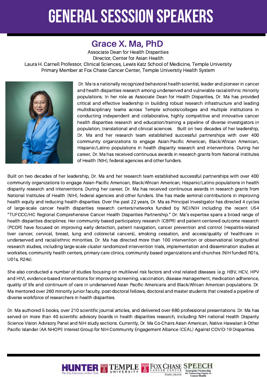### **Grace X. Ma, PhD**

Associate Dean for Health Disparities Director, Center for Asian Health

Laura H. Carnell Professor, Clinical Sciences, Lewis Katz School of Medicine, Temple University Primary Member at Fox Chase Cancer Center, Temple University Health System



Dr. Ma is a nationally recognized behavioral health scientist, leader and pioneer in cancer and health disparities research among underserved and vulnerable racial/ethnic minority populations. In her role as Associate Dean for Health Disparities, Dr. Ma has provided critical and effective leadership in building robust research infrastructure and leading multidisciplinary teams across Temple schools/colleges and multiple institutions in conducting independent and collaborative, highly competitive and innovative cancer health disparities research and education/training a pipeline of diverse investigators in population, translational and clinical sciences. Built on two decades of her leadership, Dr. Ma and her research team established successful partnerships with over 400 community organizations to engage Asian-Pacific American, Black/African American, Hispanic/Latino populations in health disparity research and interventions. During her career, Dr. Ma has received continuous awards in research grants from National Institutes of Health (NIH), federal agencies and other funders.

Built on two decades of her leadership, Dr. Ma and her research team established successful partnerships with over 400 community organizations to engage Asian-Pacific American, Black/African American, Hispanic/Latino populations in health disparity research and interventions. During her career, Dr. Ma has received continuous awards in research grants from National Institutes of Health (NIH), federal agencies and other funders. She has made seminal contributions in improving health equity and reducing health disparities. Over the past 22 years, Dr. Ma as Principal Investigator has directed 4 cycles of large-scale cancer health disparities research centers/networks funded by NCI/NIH including the recent U54 "TUFCCC/HC Regional Comprehensive Cancer Health Disparities Partnership." Dr. Ma's expertise spans a broad range of health disparities disciplines. Her community-based participatory research (CBPR) and patient-centered outcome research (PCOR) have focused on improving early detection, patient navigation, cancer prevention and control (Hepatitis-related liver cancer, cervical, breast, lung and colorectal cancers), smoking cessation, and access/quality of healthcare in underserved and racial/ethnic minorities. Dr. Ma has directed more than 100 intervention or observational longitudinal research studies, including large-scale cluster randomized intervention trials, implementation and dissemination studies at worksites, community health centers, primary care clinics, community-based organizations and churches (NIH funded R01s, U01s, R24s).

She also conducted a number of studies focusing on multilevel risk factors and viral related diseases (e.g. HBV, HCV, HPV and HIV), evidence-based interventions for improving screening, vaccination, disease management, medication adherence, quality of life and continuum of care in underserved Asian Pacific Americans and Black/African American populations. Dr. Ma mentored over 260 minority junior faculty, post-doctoral fellows, doctoral and master students that created a pipeline of diverse workforce of researchers in health disparities.

Dr. Ma authored 5 books, over 210 scientific journal articles, and delivered over 680 professional presentations. Dr. Ma has served on more than 40 scientific advisory boards in health disparities research, including NIH national Health Disparity Science Vision Advisory Panel and NIH study sections. Currently, Dr. Ma Co-Chairs Asian American, Native Hawaiian & Other Pacific Islander (AA NHOPI) Interest Group for NIH Community Engagement Alliance (CEAL) Against COVID-19 Disparities.

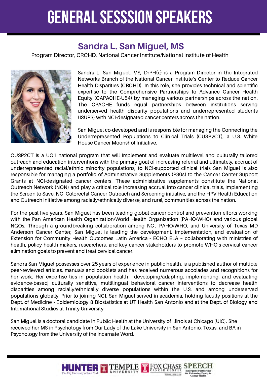### **Sandra L. San Miguel, MS**

Program Director, CRCHD, National Cancer Institute/National Institute of Health



Sandra L. San Miguel, MS, DrPH(c) is a Program Director in the Integrated Networks Branch of the National Cancer Institute's Center to Reduce Cancer Health Disparities (CRCHD). In this role, she provides technical and scientific expertise to the Comprehensive Partnerships to Advance Cancer Health Equity (CAPACHE-U54) by managing various partnerships across the nation. The CPACHE funds equal partnerships between institutions serving underserved health disparity populations and underrepresented students (ISUPS) with NCI-designated cancer centers across the nation.

San Miguel co-developed and is responsible for managing the Connecting the Underrepresented Populations to Clinical Trials (CUSP2CT), a U.S. White House Cancer Moonshot Initiative.

CUSP2CT is a UO1 national program that will implement and evaluate multilevel and culturally tailored outreach and education interventions with the primary goal of increasing referral and ultimately, accrual of underrepresented racial/ethnic minority populations, to NCI-supported clinical trials San Miguel is also responsible for managing a portfolio of Administrative Supplements (P30s) to the Cancer Center Support Grants at NCI-designated cancer centers. These administrative supplements constitute the National Outreach Network (NON) and play a critical role increasing accrual into cancer clinical trials, implementing the Screen to Save: NCI Colorectal Cancer Outreach and Screening initiative, and the HPV Health Education and Outreach initiative among racially/ethnically diverse, and rural, communities across the nation.

For the past five years, San Miguel has been leading global cancer control and prevention efforts working with the Pan American Health Organization/World Health Organization (PAHO/WHO) and various global NGOs. Through a groundbreaking collaboration among NCI, PAHO/WHO, and University of Texas MD Anderson Cancer Center, San Miguel is leading the development, implementation, and evaluation of Extension for Community Health Outcomes Latin America - ECHO ELA – collaborating with ministries of health, policy health makers, researchers, and key cancer stakeholders to promote WHO's cervical cancer elimination goals to prevent and treat cervical cancer.

Sandra San Miguel possesses over 25 years of experience in public health, is a published author of multiple peer-reviewed articles, manuals and booklets and has received numerous accolades and recognitions for her work. Her expertise lies in population health - developing/adapting, implementing, and evaluating evidence-based, culturally sensitive, multilingual behavioral cancer interventions to decrease health disparities among racially/ethnically diverse populations within the U.S. and among underserved populations globally. Prior to joining NCI, San Miguel served in academia, holding faculty positions at the Dept. of Medicine - Epidemiology & Biostatistics at UT Health San Antonio and at the Dept. of Biology and International Studies at Trinity University.

San Miguel is a doctoral candidate in Public Health at the University of Illinois at Chicago (UIC). She received her MS in Psychology from Our Lady of the Lake University in San Antonio, Texas, and BA in Psychology from the University of the Incarnate Word.

**HUNTER TEMPLE TROX CHASE SI**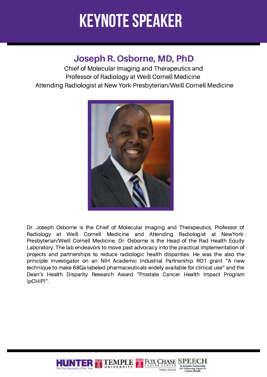### **Keynote speaker**

### **Joseph R. Osborne, MD, PhD**

Chief of Molecular Imaging and Therapeutics and Professor of Radiology at Weill Cornell Medicine Attending Radiologist at New York-Presbyterian/Weill Cornell Medicine



Dr. Joseph Osborne is the Chief of Molecular Imaging and Therapeutics, Professor of Radiology at Weill Cornell Medicine and Attending Radiologist at NewYork-Presbyterian/Weill Cornell Medicine. Dr. Osborne is the Head of the Rad Health Equity Laboratory. The lab endeavors to move past advocacy into the practical implementation of projects and partnerships to reduce radiologic health disparities. He was the also the principle investigator on an NIH Academic Industrial Partnership RO1 grant "A new technique to make 68Ga-labeled pharmaceuticals widely available for clinical use" and the Dean's Health Disparity Research Award "Prostate Cancer Health Impact Program (pCHIP)".

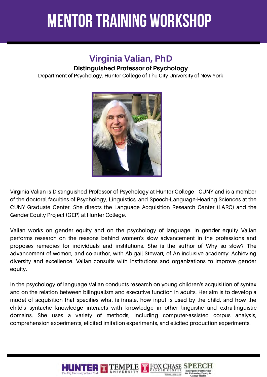### **mentor training workshop**

### **Virginia Valian, PhD Distinguished Professor of Psychology**

Department of Psychology, Hunter College of The City University of New York



Virginia Valian is Distinguished Professor of Psychology at Hunter College - CUNY and is a member of the doctoral faculties of Psychology, Linguistics, and Speech-Language-Hearing Sciences at the CUNY Graduate Center. She directs the Language Acquisition Research Center (LARC) and the Gender Equity Project (GEP) at Hunter College.

Valian works on gender equity and on the psychology of language. In gender equity Valian performs research on the reasons behind women's slow advancement in the professions and proposes remedies for individuals and institutions. She is the author of Why so slow? The advancement of women, and co-author, with Abigail Stewart, of An inclusive academy: Achieving diversity and excellence. Valian consults with institutions and organizations to improve gender equity.

In the psychology of language Valian conducts research on young children's acquisition of syntax and on the relation between bilingualism and executive function in adults. Her aim is to develop a model of acquisition that specifies what is innate, how input is used by the child, and how the child's syntactic knowledge interacts with knowledge in other linguistic and extra-linguistic domains. She uses a variety of methods, including computer-assisted corpus analysis, comprehension experiments, elicited imitation experiments, and elicited production experiments.

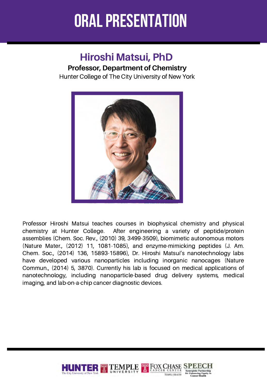### **Hiroshi Matsui, PhD Professor, Department of Chemistry**

Hunter College of The City University of New York



Professor Hiroshi Matsui teaches courses in biophysical chemistry and physical chemistry at Hunter College. After engineering a variety of peptide/protein assemblies (Chem. Soc. Rev., (2010) 39, 3499-3509), biomimetic autonomous motors (Nature Mater., (2012) 11, 1081-1085), and enzyme-mimicking peptides (J. Am. Chem. Soc., (2014) 136, 15893-15896), Dr. Hiroshi Matsui's nanotechnology labs have developed various nanoparticles including inorganic nanocages (Nature Commun., (2014) 5, 3870). Currently his lab is focused on medical applications of nanotechnology, including nanoparticle-based drug delivery systems, medical imaging, and lab-on-a-chip cancer diagnostic devices.

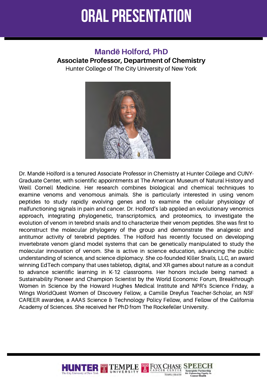#### **Mandë Holford, PhD**

#### **Associate Professor, Department of Chemistry**

Hunter College of The City University of New York



Dr. Mandë Holford is a tenured Associate Professor in Chemistry at Hunter College and CUNY-Graduate Center, with scientific appointments at The American Museum of Natural History and Weill Cornell Medicine. Her research combines biological and chemical techniques to examine venoms and venomous animals. She is particularly interested in using venom peptides to study rapidly evolving genes and to examine the cellular physiology of malfunctioning signals in pain and cancer. Dr. Holford's lab applied an evolutionary venomics approach, integrating phylogenetic, transcriptomics, and proteomics, to investigate the evolution of venom in terebrid snails and to characterize their venom peptides. She was first to reconstruct the molecular phylogeny of the group and demonstrate the analgesic and antitumor activity of terebrid peptides. The Holford has recently focused on developing invertebrate venom gland model systems that can be genetically manipulated to study the molecular innovation of venom. She is active in science education, advancing the public understanding of science, and science diplomacy. She co-founded Killer Snails, LLC, an award winning EdTech company that uses tabletop, digital, and XR games about nature as a conduit to advance scientific learning in K-12 classrooms. Her honors include being named: a Sustainability Pioneer and Champion Scientist by the World Economic Forum, Breakthrough Women in Science by the Howard Hughes Medical Institute and NPR's Science Friday, a Wings WorldQuest Women of Discovery Fellow, a Camille Dreyfus Teacher-Scholar, an NSF CAREER awardee, a AAAS Science & Technology Policy Fellow, and Fellow of the California Academy of Sciences. She received her PhD from The Rockefeller University.

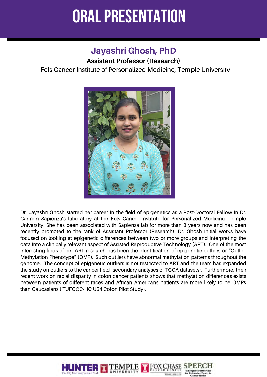### **Jayashri Ghosh, PhD**

#### **Assistant Professor (Research)**

Fels Cancer Institute of Personalized Medicine, Temple University



Dr. Jayashri Ghosh started her career in the field of epigenetics as a Post-Doctoral Fellow in Dr. Carmen Sapienza's laboratory at the Fels Cancer Institute for Personalized Medicine, Temple University. She has been associated with Sapienza lab for more than 8 years now and has been recently promoted to the rank of Assistant Professor (Research). Dr. Ghosh initial works have focused on looking at epigenetic differences between two or more groups and interpreting the data into a clinically relevant aspect of Assisted Reproductive Technology (ART). One of the most interesting finds of her ART research has been the identification of epigenetic outliers or "Outlier Methylation Phenotype" (OMP). Such outliers have abnormal methylation patterns throughout the genome. The concept of epigenetic outliers is not restricted to ART and the team has expanded the study on outliers to the cancer field (secondary analyses of TCGA datasets). Furthermore, their recent work on racial disparity in colon cancer patients shows that methylation differences exists between patients of different races and African Americans patients are more likely to be OMPs than Caucasians ( TUFCCC/HC U54 Colon Pilot Study).

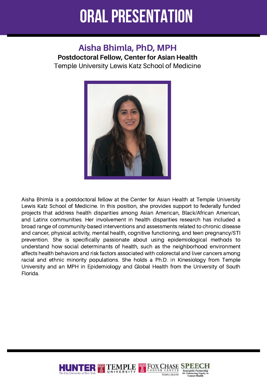### **Aisha Bhimla, PhD, MPH**

**Postdoctoral Fellow, Center for Asian Health** Temple University Lewis Katz School of Medicine



Aisha Bhimla is a postdoctoral fellow at the Center for Asian Health at Temple University Lewis Katz School of Medicine. In this position, she provides support to federally funded projects that address health disparities among Asian American, Black/African American, and Latinx communities. Her involvement in health disparities research has included a broad range of community-based interventions and assessments related to chronic disease and cancer, physical activity, mental health, cognitive functioning, and teen pregnancy/STI prevention. She is specifically passionate about using epidemiological methods to understand how social determinants of health, such as the neighborhood environment affects health behaviors and risk factors associated with colorectal and liver cancers among racial and ethnic minority populations. She holds a Ph.D. in Kinesiology from Temple University and an MPH in Epidemiology and Global Health from the University of South Florida.

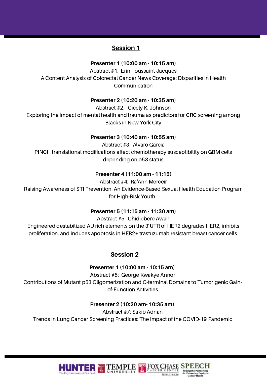#### **Session 1**

#### **Presenter 1 (10:00 am - 10:15 am)**

Abstract #1: Erin Toussaint Jacques A Content Analysis of Colorectal Cancer News Coverage: Disparities in Health Communication

#### **Presenter 2 (10:20 am - 10:35 am)**

Abstract #2: Cicely K. Johnson Exploring the impact of mental health and trauma as predictors for CRC screening among Blacks in New York City

#### **Presenter 3 (10:40 am - 10:55 am)**

Abstract #3: Alvaro García PINCH translational modifications affect chemotherapy susceptibility on GBM cells depending on p53 status

#### **Presenter 4 (11:00 am - 11:15)**

Abstract #4: Ra'Ann Merceir Raising Awareness of STI Prevention: An Evidence-Based Sexual Health Education Program for High-Risk Youth

#### **Presenter 5 (11:15 am - 11:30 am)**

Abstract #5: Chidiebere Awah

Engineered destabilized AU rich elements on the 3'UTR of HER2 degrades HER2, inhibits proliferation, and induces apoptosis in HER2+ trastuzumab resistant breast cancer cells

#### **Session 2**

**Presenter 1 (10:00 am - 10:15 am)**

Abstract #6: George Kwakye Annor Contributions of Mutant p53 Oligomerization and C-terminal Domains to Tumorigenic Gainof-Function Activities

#### **Presenter 2 (10:20 am- 10:35 am)**

Abstract #7: Sakib Adnan Trends in Lung Cancer Screening Practices: The Impact of the COVID-19 Pandemic

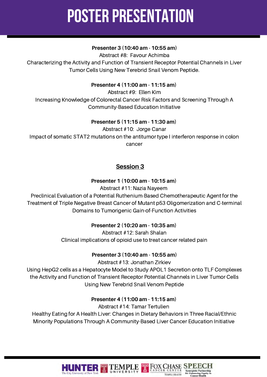#### **Presenter 3 (10:40 am - 10:55 am)**

Abstract #8: Favour Achimba

Characterizing the Activity and Function of Transient Receptor Potential Channels in Liver Tumor Cells Using New Terebrid Snail Venom Peptide.

#### **Presenter 4 (11:00 am - 11:15 am)**

Abstract #9: Ellen Kim Increasing Knowledge of Colorectal Cancer Risk Factors and Screening Through A Community-Based Education Initiative

#### **Presenter 5 (11:15 am - 11:30 am)**

Abstract #10: Jorge Canar Impact of somatic STAT2 mutations on the antitumor type I interferon response in colon cancer

#### **Session 3**

#### **Presenter 1 (10:00 am - 10:15 am)**

Abstract #11: Nazia Nayeem

Preclinical Evaluation of a Potential Ruthenium-Based Chemotherapeutic Agent for the Treatment of Triple Negative Breast Cancer of Mutant p53 Oligomerization and C-terminal Domains to Tumorigenic Gain-of-Function Activities

#### **Presenter 2 (10:20 am - 10:35 am)**

Abstract #12: Sarah Shalan Clinical implications of opioid use to treat cancer related pain

#### **Presenter 3 (10:40 am - 10:55 am)**

Abstract #13: Jonathan Zirkiev

Using HepG2 cells as a Hepatocyte Model to Study APOL1 Secretion onto TLF Complexes the Activity and Function of Transient Receptor Potential Channels in Liver Tumor Cells Using New Terebrid Snail Venom Peptide

#### **Presenter 4 (11:00 am - 11:15 am)**

Abstract #14: Tamar Tertulien

Healthy Eating for A Health Liver: Changes in Dietary Behaviors in Three Racial/Ethnic Minority Populations Through A Community-Based Liver Cancer Education Initiative

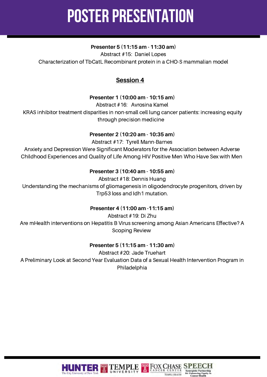#### **Presenter 5 (11:15 am - 11:30 am)**

Abstract #15: Daniel Lopes Characterization of TbCatL Recombinant protein in a CHO-S mammalian model

#### **Session 4**

#### **Presenter 1 (10:00 am - 10:15 am)**

Abstract #16: Avrosina Kamel

KRAS inhibitor treatment disparities in non-small cell lung cancer patients: increasing equity through precision medicine

#### **Presenter 2 (10:20 am - 10:35 am)**

Abstract #17: Tyrell Mann-Barnes Anxiety and Depression Were Significant Moderators for the Association between Adverse Childhood Experiences and Quality of Life Among HIV Positive Men Who Have Sex with Men

#### **Presenter 3 (10:40 am - 10:55 am)**

Abstract #18: Dennis Huang

Understanding the mechanisms of gliomagenesis in oligodendrocyte progenitors, driven by Trp53 loss and Idh1 mutation.

#### **Presenter 4 (11:00 am -11:15 am)**

Abstract #19: Di Zhu Are mHealth interventions on Hepatitis B Virus screening among Asian Americans Effective? A Scoping Review

#### **Presenter 5 (11:15 am - 11:30 am)**

Abstract #20: Jade Truehart A Preliminary Look at Second Year Evaluation Data of a Sexual Health Intervention Program in Philadelphia



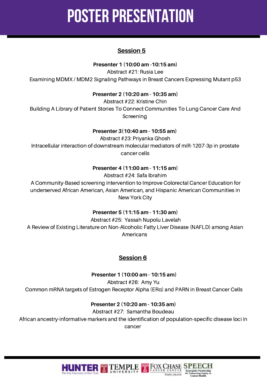#### **Session 5**

**Presenter 1 (10:00 am -10:15 am)**

Abstract #21: Rusia Lee Examining MDMX / MDM2 Signaling Pathways in Breast Cancers Expressing Mutant p53

**Presenter 2 (10:20 am - 10:35 am)**

Abstract #22: Kristine Chin Building A Library of Patient Stories To Connect Communities To Lung Cancer Care And Screening

#### **Presenter 3(10:40 am - 10:55 am)**

Abstract #23: Priyanka Ghosh Intracellular interaction of downstream molecular mediators of miR-1207-3p in prostate cancer cells

#### **Presenter 4 (11:00 am - 11:15 am)**

Abstract #24: Safa Ibrahim

A Community-Based screening intervention to Improve Colorectal Cancer Education for underserved African American, Asian American, and Hispanic American Communities in New York City

#### **Presenter 5 (11:15 am - 11:30 am)**

Abstract #25: Yassah Nupolu Lavelah A Review of Existing Literature on Non-Alcoholic Fatty Liver Disease (NAFLD) among Asian Americans

#### **Session 6**

**Presenter 1 (10:00 am - 10:15 am)**

Abstract #26: Amy Yu Common mRNA targets of Estrogen Receptor Alpha (ERα) and PARN in Breast Cancer Cells

#### **Presenter 2 (10:20 am - 10:35 am)**

Abstract #27: Samantha Boudeau African ancestry-informative markers and the identification of population-specific disease loci in cancer

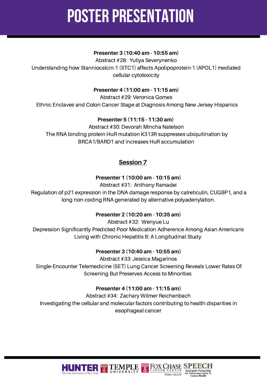#### **Presenter 3 (10:40 am - 10:55 am)**

Abstract #28: Yuliya Severynenko Understanding how Stanniocalcin-1 (STC1) affects Apolipoprotein-1 (APOL1) mediated cellular cytotoxicity

#### **Presenter 4 (11:00 am - 11:15 am)**

Abstract #29: Veronica Gomes Ethnic Enclaves and Colon Cancer Stage at Diagnosis Among New Jersey Hispanics

#### **Presenter 5 (11:15 - 11:30 am)**

Abstract #30: Devorah Mincha Natelson The RNA binding protein HuR mutation K313R suppresses ubiquitination by BRCA1/BARD1 and increases HuR accumulation

#### **Session 7**

#### **Presenter 1 (10:00 am - 10:15 am)**

Abstract #31: Anthony Ramadei

Regulation of p21 expression in the DNA damage response by calreticulin, CUGBP1, and a long non-coding RNA generated by alternative polyadenylation.

#### **Presenter 2 (10:20 am - 10:35 am)**

Abstract #32: Wenyue Lu Depression Significantly Predicted Poor Medication Adherence Among Asian Americans Living with Chronic Hepatitis B: A Longitudinal Study

#### **Presenter 3 (10:40 am - 10:55 am)**

Abstract #33: Jessica Magarinos Single-Encounter Telemedicine (SET) Lung Cancer Screening Reveals Lower Rates Of Screening But Preserves Access to Minorities

#### **Presenter 4 (11:00 am - 11:15 am)**

Abstract #34: Zachary Wilmer Reichenbach Investigating the cellular and molecular factors contributing to health disparities in esophageal cancer

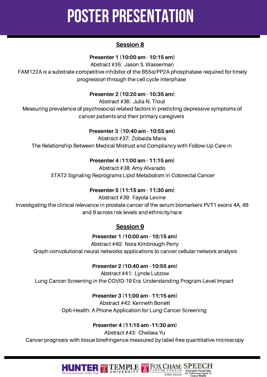#### **Session 8**

#### **Presenter 1 (10:00 am - 10:15 am)**

Abstract #35: Jason S. Wasserman

FAM122A is a substrate-competitive inhibitor of the  $B55\alpha/PP2A$  phosphatase required for timely progression through the cell cycle interphase

#### **Presenter 2 (10:20 am - 10:35 am)**

Abstract #36: Julia N. Trout

Measuring prevalence of psychosocial-related factors in predicting depressive symptoms of cancer patients and their primary caregivers

#### **Presenter 3 (10:40 am - 10:55 am)**

Abstract #37:Zobaida Maria The Relationship Between Medical Mistrust and Compliancy with Follow-Up Care in

#### **Presenter 4** (**11:00 am - 11:15 am)**

Abstract #38: Amy Alvarado STAT2 Signaling Reprograms Lipid Metabolism in Colorectal Cancer

#### **Presenter 5 (11:15 am - 11:30 am)**

Abstract #39: Fayola Levine Investigating the clinical relevance in prostate cancer of the serum biomarkers PVT1 exons 4A, 4B and 9 across risk levels and ethnicity/race

#### **Session 9**

**Presenter 1 (10:00 am - 10:15 am)**

Abstract #40: Nora Kimbrough-Perry Graph convolutional neural networks applications to cancer cellular network analysis

#### **Presenter 2 (10:40 am - 10:55 am)**

Abstract #41: Lynde Lutzow Lung Cancer Screening in the COVID-19 Era: Understanding Program-Level Impact

**Presenter 3 (11:00 am - 11:15 am)**

Abstract #42: Kenneth Bonett Opti-Health: A Phone Application for Lung Cancer Screening

#### **Presenter 4 (11:15 am -11:30 am)**

Abstract #43: Chelsea Yu Cancer prognosis with tissue birefringence measured by label-free quantitative microscopy

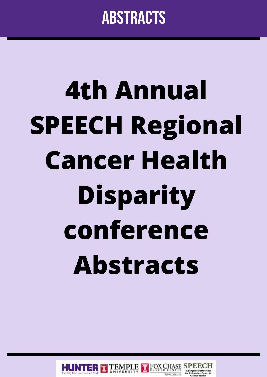### **abstracts**

# **4th Annual SPEECH Regional Cancer Health Disparity conference Abstracts**

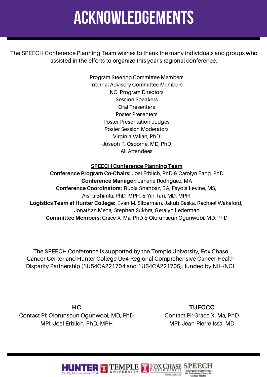## **acknowledgements**

The SPEECH Conference Planning Team wishes to thank the many individuals and groups who assisted in the efforts to organize this year's regional conference.

> Program Steering Committee Members Internal Advisory Committee Members NCI Program Directors Session Speakers Oral Presenters Poster Presenters Poster Presentation Judges Poster Session Moderators Virginia Valian, PhD Joseph R. Osborne, MD, PhD All Attendees

#### **SPEECH Conference Planning Team**

**Conference Program Co-Chairs:** Joel Erblich, PhD & Carolyn Fang, PhD **Conference Manager:** Janerie Rodriguez, MA **Conference Coordinators:** Rubia Shahbaz, BA, Fayola Levine, MS, Aisha Bhimla, PhD, MPH, & Yin Tan, MD, MPH **Logistics Team at Hunter College:** Evan M. Silberman, Jakub Baska**,** Rachael Wakeford**,** Jonathan Mena, Stephen Sukhra, Geralyn Lederman **Committee Members:** Grace X. Ma, PhD & Olorunseun Ogunwobi, MD, PhD

The SPEECH Conference is supported by the Temple University, Fox Chase Cancer Center and Hunter College U54 Regional Comprehensive Cancer Health Disparity Partnership (1U54CA221704 and 1U54CA221705), funded by NIH/NCI.

**HC** Contact PI: Olorunseun Ogunwobi, MD, PhD MPI: Joel Erblich, PhD, MPH

**TUFCCC** Contact PI: Grace X. Ma, PhD MPI: Jean-Pierre Issa, MD

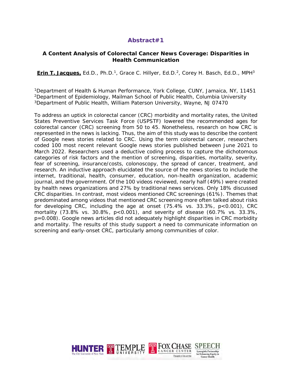#### **A Content Analysis of Colorectal Cancer News Coverage: Disparities in Health Communication**

**Erin T. Jacques, Ed.D., Ph.D.<sup>1</sup>, Grace C. Hillyer, Ed.D.<sup>2</sup>, Corey H. Basch, Ed.D., MPH<sup>3</sup>** 

1Department of Health & Human Performance, York College, CUNY, Jamaica, NY, 11451 2Department of Epidemiology, Mailman School of Public Health, Columbia University 3Department of Public Health, William Paterson University, Wayne, NJ 07470

To address an uptick in colorectal cancer (CRC) morbidity and mortality rates, the United States Preventive Services Task Force (USPSTF) lowered the recommended ages for colorectal cancer (CRC) screening from 50 to 45. Nonetheless, research on how CRC is represented in the news is lacking. Thus, the aim of this study was to describe the content of Google news stories related to CRC. Using the term colorectal cancer, researchers coded 100 most recent relevant Google news stories published between June 2021 to March 2022. Researchers used a deductive coding process to capture the dichotomous categories of risk factors and the mention of screening, disparities, mortality, severity, fear of screening, insurance/costs, colonoscopy, the spread of cancer, treatment, and research. An inductive approach elucidated the source of the news stories to include the internet, traditional, health, consumer, education, non-health organization, academic journal, and the government. Of the 100 videos reviewed, nearly half (49%) were created by health news organizations and 27% by traditional news services. Only 18% discussed CRC disparities. In contrast, most videos mentioned CRC screenings (61%). Themes that predominated among videos that mentioned CRC screening more often talked about risks for developing CRC, including the age at onset (75.4% vs. 33.3%, p<0.001), CRC mortality (73.8% vs. 30.8%, p<0.001), and severity of disease (60.7% vs. 33.3%, p=0.008). Google news articles did not adequately highlight disparities in CRC morbidity and mortality. The results of this study support a need to communicate information on screening and early-onset CRC, particularly among communities of color.

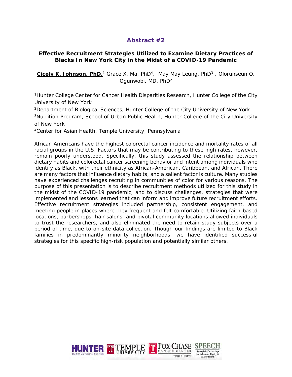#### **Effective Recruitment Strategies Utilized to Examine Dietary Practices of Blacks In New York City in the Midst of a COVID-19 Pandemic**

**Cicely K. Johnson, PhD,**<sup>1</sup> Grace X. Ma, PhD4, May May Leung, PhD3 , Olorunseun O. Ogunwobi, MD, PhD2

1Hunter College Center for Cancer Health Disparities Research, Hunter College of the City University of New York

2Department of Biological Sciences, Hunter College of the City University of New York 3Nutrition Program, School of Urban Public Health, Hunter College of the City University of New York

4Center for Asian Health, Temple University, Pennsylvania

African Americans have the highest colorectal cancer incidence and mortality rates of all racial groups in the U.S. Factors that may be contributing to these high rates, however, remain poorly understood. Specifically, this study assessed the relationship between dietary habits and colorectal cancer screening behavior and intent among individuals who identify as Black, with their ethnicity as African-American, Caribbean, and African. There are many factors that influence dietary habits, and a salient factor is culture. Many studies have experienced challenges recruiting in communities of color for various reasons. The purpose of this presentation is to describe recruitment methods utilized for this study in the midst of the COVID-19 pandemic, and to discuss challenges, strategies that were implemented and lessons learned that can inform and improve future recruitment efforts. Effective recruitment strategies included partnership, consistent engagement, and meeting people in places where they frequent and felt comfortable. Utilizing faith-based locations, barbershops, hair salons, and pivotal community locations allowed individuals to trust the researchers, and also eliminated the need to retain study subjects over a period of time, due to on-site data collection. Though our findings are limited to Black families in predominantly minority neighborhoods, we have identified successful strategies for this specific high-risk population and potentially similar others.

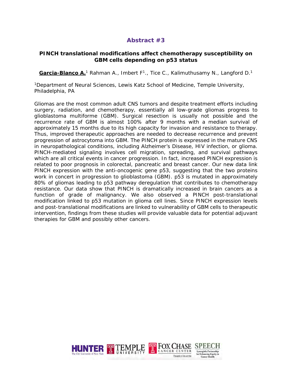#### **PINCH translational modifications affect chemotherapy susceptibility on GBM cells depending on p53 status**

Garcia-Blanco A.<sup>1</sup> Rahman A., Imbert F<sup>1</sup>., Tice C., Kalimuthusamy N., Langford D.<sup>1</sup>

1Department of Neural Sciences, Lewis Katz School of Medicine, Temple University, Philadelphia, PA

Gliomas are the most common adult CNS tumors and despite treatment efforts including surgery, radiation, and chemotherapy, essentially all low-grade gliomas progress to glioblastoma multiforme (GBM). Surgical resection is usually not possible and the recurrence rate of GBM is almost 100% after 9 months with a median survival of approximately 15 months due to its high capacity for invasion and resistance to therapy. Thus, improved therapeutic approaches are needed to decrease recurrence and prevent progression of astrocytoma into GBM. The PINCH protein is expressed in the mature CNS in neuropathological conditions, including Alzheimer's Disease, HIV infection, or glioma. PINCH-mediated signaling involves cell migration, spreading, and survival pathways which are all critical events in cancer progression. In fact, increased PINCH expression is related to poor prognosis in colorectal, pancreatic and breast cancer. Our new data link PINCH expression with the anti-oncogenic gene p53, suggesting that the two proteins work in concert in progression to glioblastoma (GBM). p53 is mutated in approximately 80% of gliomas leading to p53 pathway deregulation that contributes to chemotherapy resistance. Our data show that PINCH is dramatically increased in brain cancers as a function of grade of malignancy. We also observed a PINCH post-translational modification linked to p53 mutation in glioma cell lines. Since PINCH expression levels and post-translational modifications are linked to vulnerability of GBM cells to therapeutic intervention, findings from these studies will provide valuable data for potential adjuvant therapies for GBM and possibly other cancers.

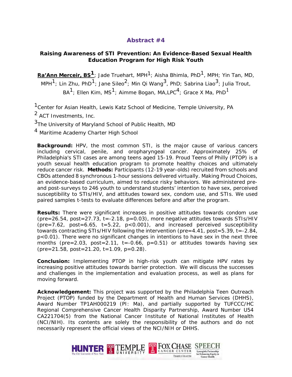#### **Raising Awareness of STI Prevention: An Evidence-Based Sexual Health Education Program for High Risk Youth**

**Ra'Ann Merceir, BS<sup>1</sup>;** Jade Truehart, MPH<sup>1</sup>; Aisha Bhimla, PhD<sup>1</sup>, MPH; Yin Tan, MD, MPH<sup>1</sup>; Lin Zhu, PhD<sup>1</sup>; Jane Sileo<sup>2</sup>; Min Qi Wang<sup>3</sup>, PhD; Sabrina Liao<sup>3</sup>; Julia Trout,  $BA^1$ ; Ellen Kim, MS<sup>1</sup>; Aimme Bogan, MA,LPC<sup>4</sup>; Grace X Ma, PhD<sup>1</sup>

<sup>1</sup> Center for Asian Health, Lewis Katz School of Medicine, Temple University, PA

2 ACT Investments, Inc.

 $3$ The University of Maryland School of Public Health, MD

<sup>4</sup> Maritime Academy Charter High School

**Background:** HPV, the most common STI, is the major cause of various cancers including cervical, penile, and oropharyngeal cancer. Approximately 25% of Philadelphia's STI cases are among teens aged 15-19. Proud Teens of Philly (PTOP) is a youth sexual health education program to promote healthy choices and ultimately reduce cancer risk. **Methods:** Participants (12-19 year-olds) recruited from schools and CBOs attended 8 synchronous 1-hour sessions delivered virtually. Making Proud Choices, an evidence-based curriculum, aimed to reduce risky behaviors. We administered preand post-surveys to 246 youth to understand students' intention to have sex, perceived susceptibility to STIs/HIV, and attitudes toward sex, condom use, and STIs. We used paired samples t-tests to evaluate differences before and after the program.

**Results:** There were significant increases in positive attitudes towards condom use (pre=26.54, post=27.73, t=-2.18, p=0.03), more negative attitudes towards STIs/HIV (pre=7.62, post=6.65, t=5.22, p<0.001), and increased perceived susceptibility towards contracting STIs/HIV following the intervention (pre=4.41, post=5.39, t=-2.84, p<0.01). There were no significant changes in intentions to have sex in the next three months (pre=2.03, post=2.11, t=-0.66, p=0.51) or attitudes towards having sex  $(\text{pre}=21.58, \text{post}=21.20, \text{t}=1.09, \text{p}=0.28).$ 

**Conclusion:** Implementing PTOP in high-risk youth can mitigate HPV rates by increasing positive attitudes towards barrier protection. We will discuss the successes and challenges in the implementation and evaluation process, as well as plans for moving forward.

**Acknowledgement:** This project was supported by the Philadelphia Teen Outreach Project (PTOP) funded by the Department of Health and Human Services (DHHS), Award Number TP1AH000219 (PI: Ma), and partially supported by TUFCCC/HC Regional Comprehensive Cancer Health Disparity Partnership, Award Number U54 CA221704(5) from the National Cancer Institute of National Institutes of Health (NCI/NIH). Its contents are solely the responsibility of the authors and do not necessarily represent the official views of the NCI/NIH or DHHS.

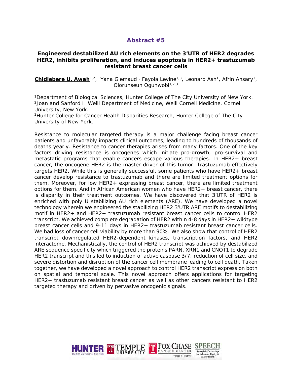#### **Engineered destabilized AU rich elements on the 3'UTR of HER2 degrades HER2, inhibits proliferation, and induces apoptosis in HER2+ trastuzumab resistant breast cancer cells**

**Chidiebere U. Awah**<sup>1,2</sup>, Yana Glemaud<sup>1,</sup> Fayola Levine<sup>1,3</sup>, Leonard Ash<sup>1</sup>, Afrin Ansary<sup>1</sup>, Olorunseun Ogunwobi<sup>1,2,3</sup>

<sup>1</sup>Department of Biological Sciences, Hunter College of The City University of New York.<br><sup>2</sup>Joan and Sanford I. Weill Department of Medicine, Weill Cornell Medicine, Cornell University, New York.

3Hunter College for Cancer Health Disparities Research, Hunter College of The City University of New York.

Resistance to molecular targeted therapy is a major challenge facing breast cancer patients and unfavorably impacts clinical outcomes, leading to hundreds of thousands of deaths yearly. Resistance to cancer therapies arises from many factors. One of the key factors driving resistance is oncogenes which initiate pro-growth, pro-survival and metastatic programs that enable cancers escape various therapies. In HER2+ breast cancer, the oncogene HER2 is the master driver of this tumor. Trastuzumab effectively targets HER2. While this is generally successful, some patients who have HER2+ breast cancer develop resistance to trastuzumab and there are limited treatment options for them. Moreover, for low HER2+ expressing breast cancer, there are limited treatment options for them. And in African American women who have HER2+ breast cancer, there is disparity in their treatment outcomes. We have discovered that 3'UTR of HER2 is enriched with poly U stabilizing AU rich elements (ARE). We have developed a novel technology wherein we engineered the stabilizing HER2 3'UTR ARE motifs to destabilizing motif in HER2+ and HER2+ trastuzumab resistant breast cancer cells to control HER2 transcript. We achieved complete degradation of HER2 within 4-8 days in HER2+ wildtype breast cancer cells and 9-11 days in HER2+ trastuzumab resistant breast cancer cells. We had loss of cancer cell viability by more than 90%. We also show that control of HER2 transcript downregulated HER2-dependent kinases, transcription factors, and HER2 interactome. Mechanistically, the control of HER2 transcript was achieved by destabilized ARE sequence specificity which triggered the proteins PARN, XRN1 and CNOT1 to degrade HER2 transcript and this led to induction of active caspase 3/7, reduction of cell size, and severe distortion and disruption of the cancer cell membrane leading to cell death. Taken together, we have developed a novel approach to control HER2 transcript expression both on spatial and temporal scale. This novel approach offers applications for targeting HER2+ trastuzumab resistant breast cancer as well as other cancers resistant to HER2 targeted therapy and driven by pervasive oncogenic signals.

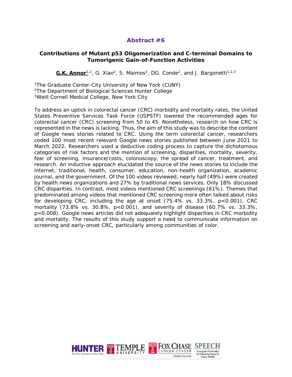#### **Contributions of Mutant p53 Oligomerization and C-terminal Domains to Tumorigenic Gain-of-Function Activities**

G.K. Annor<sup>1,2</sup>, G. Xiao<sup>2</sup>, S. Maimos<sup>2</sup>, DG. Conde<sup>2</sup>, and J. Bargonetti<sup>1,2,3</sup>

1The Graduate Center-City University of New York (CUNY) 2The Department of Biological Sciences Hunter College 3Weill Cornell Medical College, New York City

To address an uptick in colorectal cancer (CRC) morbidity and mortality rates, the United States Preventive Services Task Force (USPSTF) lowered the recommended ages for colorectal cancer (CRC) screening from 50 to 45. Nonetheless, research on how CRC is represented in the news is lacking. Thus, the aim of this study was to describe the content of Google news stories related to CRC. Using the term colorectal cancer, researchers coded 100 most recent relevant Google news stories published between June 2021 to March 2022. Researchers used a deductive coding process to capture the dichotomous categories of risk factors and the mention of screening, disparities, mortality, severity, fear of screening, insurance/costs, colonoscopy, the spread of cancer, treatment, and research. An inductive approach elucidated the source of the news stories to include the internet, traditional, health, consumer, education, non-health organization, academic journal, and the government. Of the 100 videos reviewed, nearly half (49%) were created by health news organizations and 27% by traditional news services. Only 18% discussed CRC disparities. In contrast, most videos mentioned CRC screenings (61%). Themes that predominated among videos that mentioned CRC screening more often talked about risks for developing CRC, including the age at onset  $(75.4\% \text{ vs. } 33.3\%, \text{ p} < 0.001)$ , CRC mortality (73.8% vs. 30.8%, p<0.001), and severity of disease (60.7% vs. 33.3%, p=0.008). Google news articles did not adequately highlight disparities in CRC morbidity and mortality. The results of this study support a need to communicate information on screening and early-onset CRC, particularly among communities of color.

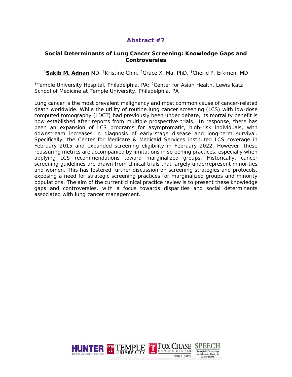#### **Social Determinants of Lung Cancer Screening: Knowledge Gaps and Controversies**

<sup>1</sup>**Sakib M. Adnan** MD, 1Kristine Chin, 2Grace X. Ma, PhD, 1Cherie P. Erkmen, MD

<sup>1</sup>Temple University Hospital, Philadelphia, PA; <sup>2</sup>Center for Asian Health, Lewis Katz School of Medicine at Temple University, Philadelphia, PA

Lung cancer is the most prevalent malignancy and most common cause of cancer-related death worldwide. While the utility of routine lung cancer screening (LCS) with low-dose computed tomography (LDCT) had previously been under debate, its mortality benefit is now established after reports from multiple prospective trials. In response, there has been an expansion of LCS programs for asymptomatic, high-risk individuals, with downstream increases in diagnosis of early-stage disease and long-term survival. Specifically, the Center for Medicare & Medicaid Services instituted LCS coverage in February 2015 and expanded screening eligibility in February 2022. However, these reassuring metrics are accompanied by limitations in screening practices, especially when applying LCS recommendations toward marginalized groups. Historically, cancer screening guidelines are drawn from clinical trials that largely underrepresent minorities and women. This has fostered further discussion on screening strategies and protocols, exposing a need for strategic screening practices for marginalized groups and minority populations. The aim of the current clinical practice review is to present these knowledge gaps and controversies, with a focus towards disparities and social determinants associated with lung cancer management.

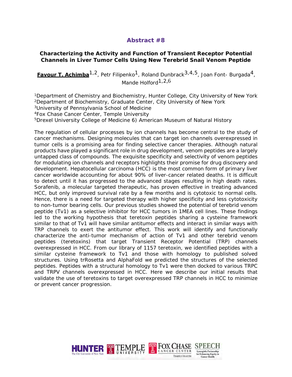#### **Characterizing the Activity and Function of Transient Receptor Potential Channels in Liver Tumor Cells Using New Terebrid Snail Venom Peptide**

**Favour T. Achimba**<sup>1,2</sup>, Petr Filipenko<sup>1</sup>, Roland Dunbrack<sup>3,4,5</sup>, Joan Font- Burgada<sup>4</sup>, Mande Holford<sup>1,2,6</sup>

<sup>1</sup>Department of Chemistry and Biochemistry, Hunter College, City University of New York 2Department of Biochemistry, Graduate Center, City University of New York

3University of Pennsylvania School of Medicine

4Fox Chase Cancer Center, Temple University

5Drexel University College of Medicine 6) American Museum of Natural History

The regulation of cellular processes by ion channels has become central to the study of cancer mechanisms. Designing molecules that can target ion channels overexpressed in tumor cells is a promising area for finding selective cancer therapies. Although natural products have played a significant role in drug development, venom peptides are a largely untapped class of compounds. The exquisite specificity and selectivity of venom peptides for modulating ion channels and receptors highlights their promise for drug discovery and development. Hepatocellular carcinoma (HCC) is the most common form of primary liver cancer worldwide accounting for about 90% of liver-cancer related deaths. It is difficult to detect until it has progressed to the advanced stages resulting in high death rates. Sorafenib, a molecular targeted therapeutic, has proven effective in treating advanced HCC, but only improved survival rate by a few months and is cytotoxic to normal cells. Hence, there is a need for targeted therapy with higher specificity and less cytotoxicity to non-tumor bearing cells. Our previous studies showed the potential of terebrid venom peptide (Tv1) as a selective inhibitor for HCC tumors in 1MEA cell lines. These findings led to the working hypothesis that teretoxin peptides sharing a cysteine framework similar to that of Tv1 will have similar antitumor effects and interact in similar ways with TRP channels to exert the antitumor effect. This work will identify and functionally characterize the anti-tumor mechanism of action of Tv1 and other terebrid venom peptides (teretoxins) that target Transient Receptor Potential (TRP) channels overexpressed in HCC. From our library of 1157 teretoxin, we identified peptides with a similar cysteine framework to Tv1 and those with homology to published solved structures. Using trRosetta and AlphaFold we predicted the structures of the selected peptides. Peptides with a structural homology to Tv1 were then docked to various TRPC and TRPV channels overexpressed in HCC. Here we describe our initial results that validate the use of teretoxins to target overexpressed TRP channels in HCC to minimize or prevent cancer progression.

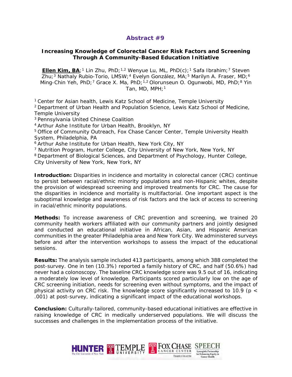#### **Increasing Knowledge of Colorectal Cancer Risk Factors and Screening Through A Community-Based Education Initiative**

**Ellen Kim, BA**;<sup>1</sup> Lin Zhu, PhD;<sup>1,2</sup> Wenyue Lu, ML, PhD(c);<sup>1</sup> Safa Ibrahim;<sup>7</sup> Steven Zhu;<sup>3</sup> Nathaly Rubio-Torio, LMSW;<sup>4</sup> Evelyn González, MA;<sup>5</sup> Marilyn A. Fraser, MD;<sup>6</sup> Ming-Chin Yeh, PhD;<sup>7</sup> Grace X. Ma, PhD;<sup>1,2</sup> Olorunseun O. Ogunwobi, MD, PhD;<sup>8</sup> Yin Tan, MD, MPH;<sup>1</sup>

1 Center for Asian health, Lewis Katz School of Medicine, Temple University

2 Department of Urban Health and Population Science, Lewis Katz School of Medicine, Temple University

3 Pennsylvania United Chinese Coalition

4 Arthur Ashe Institute for Urban Health, Brooklyn, NY

5 Office of Community Outreach, Fox Chase Cancer Center, Temple University Health System, Philadelphia, PA

6 Arthur Ashe Institute for Urban Health, New York City, NY

<sup>7</sup> Nutrition Program, Hunter College, City University of New York, New York, NY

8 Department of Biological Sciences, and Department of Psychology, Hunter College, City University of New York, New York, NY

**Introduction:** Disparities in incidence and mortality in colorectal cancer (CRC) continue to persist between racial/ethnic minority populations and non-Hispanic whites, despite the provision of widespread screening and improved treatments for CRC. The cause for the disparities in incidence and mortality is multifactorial. One important aspect is the suboptimal knowledge and awareness of risk factors and the lack of access to screening in racial/ethnic minority populations.

**Methods:** To increase awareness of CRC prevention and screening, we trained 20 community health workers affiliated with our community partners and jointly designed and conducted an educational initiative in African, Asian, and Hispanic American communities in the greater Philadelphia area and New York City. We administered surveys before and after the intervention workshops to assess the impact of the educational sessions.

**Results:** The analysis sample included 413 participants, among which 388 completed the post-survey. One in ten (10.3%) reported a family history of CRC, and half (50.6%) had never had a colonoscopy. The baseline CRC knowledge score was 9.5 out of 16, indicating a moderately low level of knowledge. Participants scored particularly low on the age of CRC screening initiation, needs for screening even without symptoms, and the impact of physical activity on CRC risk. The knowledge score significantly increased to 10.9 ( $p <$ .001) at post-survey, indicating a significant impact of the educational workshops.

**Conclusion:** Culturally-tailored, community-based educational initiatives are effective in raising knowledge of CRC in medically underserved populations. We will discuss the successes and challenges in the implementation process of the initiative.

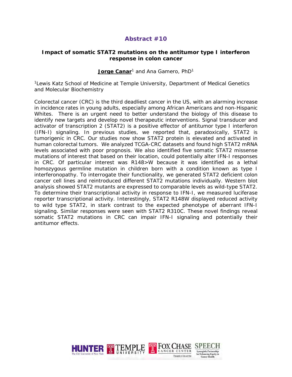#### **Impact of somatic STAT2 mutations on the antitumor type I interferon response in colon cancer**

#### Jorge Canar<sup>1</sup> and Ana Gamero, PhD<sup>1</sup>

<sup>1</sup> Lewis Katz School of Medicine at Temple University, Department of Medical Genetics and Molecular Biochemistry

Colorectal cancer (CRC) is the third deadliest cancer in the US, with an alarming increase in incidence rates in young adults, especially among African Americans and non-Hispanic Whites. There is an urgent need to better understand the biology of this disease to identify new targets and develop novel therapeutic interventions. Signal transducer and activator of transcription 2 (STAT2) is a positive effector of antitumor type I interferon (IFN-I) signaling. In previous studies, we reported that, paradoxically, STAT2 is tumorigenic in CRC. Our studies now show STAT2 protein is elevated and activated in human colorectal tumors. We analyzed TCGA-CRC datasets and found high STAT2 mRNA levels associated with poor prognosis. We also identified five somatic STAT2 missense mutations of interest that based on their location, could potentially alter IFN-I responses in CRC. Of particular interest was R148>W because it was identified as a lethal homozygous germline mutation in children born with a condition known as type I interferonopathy. To interrogate their functionality, we generated STAT2 deficient colon cancer cell lines and reintroduced different STAT2 mutations individually. Western blot analysis showed STAT2 mutants are expressed to comparable levels as wild-type STAT2. To determine their transcriptional activity in response to IFN-I, we measured luciferase reporter transcriptional activity. Interestingly, STAT2 R148W displayed reduced activity to wild type STAT2, in stark contrast to the expected phenotype of aberrant IFN-I signaling. Similar responses were seen with STAT2 R310C. These novel findings reveal somatic STAT2 mutations in CRC can impair IFN-I signaling and potentially their antitumor effects.

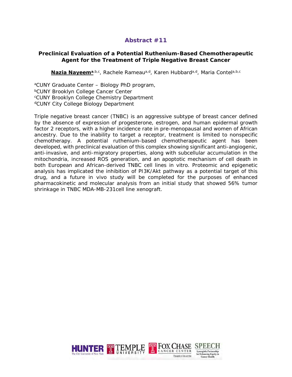#### **Preclinical Evaluation of a Potential Ruthenium-Based Chemotherapeutic Agent for the Treatment of Triple Negative Breast Cancer**

**Nazia Nayeem<sup>a,b,c</sup>, Rachele Rameau<sup>a,d</sup>, Karen Hubbard<sup>a,d</sup>, Maria Contela,b,c** 

<sup>a</sup>CUNY Graduate Center - Biology PhD program, **bCUNY Brooklyn College Cancer Center** cCUNY Brooklyn College Chemistry Department <sup>d</sup>CUNY City College Biology Department

Triple negative breast cancer (TNBC) is an aggressive subtype of breast cancer defined by the absence of expression of progesterone, estrogen, and human epidermal growth factor 2 receptors, with a higher incidence rate in pre-menopausal and women of African ancestry. Due to the inability to target a receptor, treatment is limited to nonspecific chemotherapy. A potential ruthenium-based chemotherapeutic agent has been developed, with preclinical evaluation of this complex showing significant anti-angiogenic, anti-invasive, and anti-migratory properties, along with subcellular accumulation in the mitochondria, increased ROS generation, and an apoptotic mechanism of cell death in both European and African-derived TNBC cell lines in vitro. Proteomic and epigenetic analysis has implicated the inhibition of PI3K/Akt pathway as a potential target of this drug, and a future in vivo study will be completed for the purposes of enhanced pharmacokinetic and molecular analysis from an initial study that showed 56% tumor shrinkage in TNBC MDA-MB-231cell line xenograft.

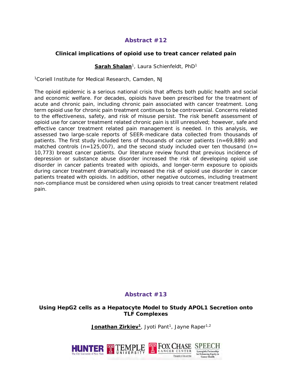#### **Clinical implications of opioid use to treat cancer related pain**

#### **Sarah Shalan**1, Laura Schienfeldt, PhD1

1Coriell Institute for Medical Research, Camden, NJ

The opioid epidemic is a serious national crisis that affects both public health and social and economic welfare. For decades, opioids have been prescribed for the treatment of acute and chronic pain, including chronic pain associated with cancer treatment. Long term opioid use for chronic pain treatment continues to be controversial. Concerns related to the effectiveness, safety, and risk of misuse persist. The risk benefit assessment of opioid use for cancer treatment related chronic pain is still unresolved; however, safe and effective cancer treatment related pain management is needed. In this analysis, we assessed two large-scale reports of SEER-medicare data collected from thousands of patients. The first study included tens of thousands of cancer patients (n=69,889) and matched controls ( $n=125,007$ ), and the second study included over ten thousand ( $n=$ 10,773) breast cancer patients. Our literature review found that previous incidence of depression or substance abuse disorder increased the risk of developing opioid use disorder in cancer patients treated with opioids, and longer-term exposure to opioids during cancer treatment dramatically increased the risk of opioid use disorder in cancer patients treated with opioids. In addition, other negative outcomes, including treatment non-compliance must be considered when using opioids to treat cancer treatment related pain.

#### **Abstract #13**

**Using HepG2 cells as a Hepatocyte Model to Study APOL1 Secretion onto TLF Complexes**

**Jonathan Zirkiev<sup>1</sup>, Jyoti Pant<sup>1</sup>, Jayne Raper<sup>1,2</sup>** 

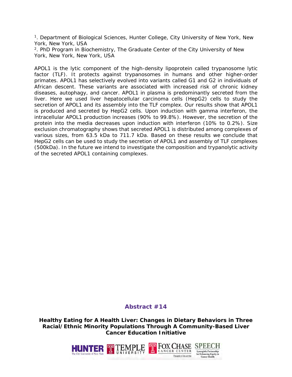1. Department of Biological Sciences, Hunter College, City University of New York, New York, New York, USA

<sup>2</sup>. PhD Program in Biochemistry, The Graduate Center of the City University of New York, New York, New York, USA

APOL1 is the lytic component of the high-density lipoprotein called trypanosome lytic factor (TLF). It protects against trypanosomes in humans and other higher-order primates. APOL1 has selectively evolved into variants called G1 and G2 in individuals of African descent. These variants are associated with increased risk of chronic kidney diseases, autophagy, and cancer. APOL1 in plasma is predominantly secreted from the liver. Here we used liver hepatocellular carcinoma cells (HepG2) cells to study the secretion of APOL1 and its assembly into the TLF complex. Our results show that APOL1 is produced and secreted by HepG2 cells. Upon induction with gamma interferon, the intracellular APOL1 production increases (90% to 99.8%). However, the secretion of the protein into the media decreases upon induction with interferon (10% to 0.2%). Size exclusion chromatography shows that secreted APOL1 is distributed among complexes of various sizes, from 63.5 kDa to 711.7 kDa. Based on these results we conclude that HepG2 cells can be used to study the secretion of APOL1 and assembly of TLF complexes (500kDa). In the future we intend to investigate the composition and trypanolytic activity of the secreted APOL1 containing complexes.

#### **Abstract #14**

**Healthy Eating for A Health Liver: Changes in Dietary Behaviors in Three Racial/Ethnic Minority Populations Through A Community-Based Liver Cancer Education Initiative**

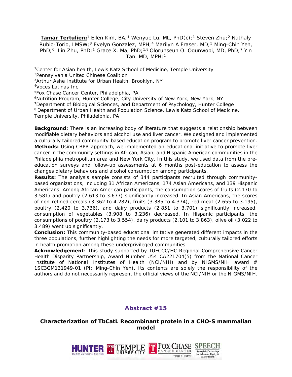**Tamar Tertulien;**<sup>1</sup> Ellen Kim, BA;<sup>1</sup> Wenyue Lu, ML, PhD(c);<sup>1</sup> Steven Zhu;<sup>2</sup> Nathaly Rubio-Torio, LMSW;<sup>3</sup> Evelyn Gonzalez, MPH;<sup>4</sup> Marilyn A Fraser, MD;<sup>5</sup> Ming-Chin Yeh, PhD;<sup>6</sup> Lin Zhu, PhD;<sup>1</sup> Grace X. Ma, PhD;<sup>1,8</sup> Olorunseun O. Ogunwobi, MD, PhD;<sup>7</sup> Yin Tan, MD, MPH; $1$ 

<sup>1</sup>Center for Asian health, Lewis Katz School of Medicine, Temple University <sup>2</sup>Pennsylvania United Chinese Coalition <sup>3</sup>Arthur Ashe Institute for Urban Health, Brooklyn, NY 4Voces Latinas Inc <sup>5</sup>Fox Chase Cancer Center, Philadelphia, PA<br><sup>6</sup>Nutrition Program, Hunter College, City University of New York, New York, NY<br><sup>7</sup>Department of Biological Sciences, and Department of Psychology, Hunter College 8 Department of Urban Health and Population Science, Lewis Katz School of Medicine, Temple University, Philadelphia, PA

**Background:** There is an increasing body of literature that suggests a relationship between modifiable dietary behaviors and alcohol use and liver cancer. We designed and implemented a culturally tailored community-based education program to promote liver cancer prevention. **Methods:** Using CBPR approach, we implemented an educational initiative to promote liver cancer in the community settings in African, Asian, and Hispanic American communities in the Philadelphia metropolitan area and New York City. In this study, we used data from the preeducation surveys and follow-up assessments at 6 months post-education to assess the changes dietary behaviors and alcohol consumption among participants.

**Results:** The analysis sample consists of 344 participants recruited through communitybased organizations, including 31 African Americans, 174 Asian Americans, and 139 Hispanic Americans. Among African American participants, the consumption scores of fruits (2.170 to 3.581) and poultry (2.613 to 3.677) significantly increased. In Asian Americans, the scores of non-refined cereals (3.362 to 4.282), fruits (3.385 to 4.374), red meat (2.655 to 3.195), poultry (2.420 to 3.736), and dairy products (2.851 to 3.701) significantly increased; consumption of vegetables (3.908 to 3.236) decreased. In Hispanic participants, the consumptions of poultry (2.173 to 3.554), dairy products (2.101 to 3.863), olive oil (3.022 to 3.489) went up significantly.

**Conclusion:** This community-based educational imitative generated different impacts in the three populations, further highlighting the needs for more targeted, culturally tailored efforts in health promotion among these underprivileged communities.

**Acknowledgement**: This study supported by TUFCCC/HC Regional Comprehensive Cancer Health Disparity Partnership, Award Number U54 CA221704(5) from the National Cancer Institute of National Institutes of Health (NCI/NIH) and by NIGMS/NIH award # 1SC3GM131949-01 (PI: Ming-Chin Yeh). Its contents are solely the responsibility of the authors and do not necessarily represent the official views of the NCI/NIH or the NIGMS/NIH.

#### **Abstract #15**

#### **Characterization of TbCatL Recombinant protein in a CHO-S mammalian model**

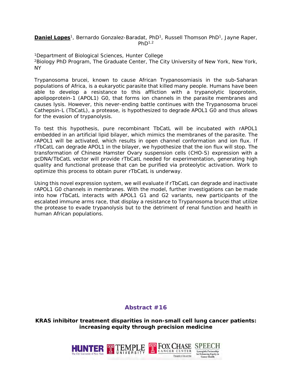**Daniel Lopes**<sup>1</sup>, Bernardo Gonzalez-Baradat, PhD<sup>1</sup>, Russell Thomson PhD<sup>1</sup>, Jayne Raper,  $PhD<sup>1,2</sup>$ 

1Department of Biological Sciences, Hunter College 2Biology PhD Program, The Graduate Center, The City University of New York, New York, NY

*Trypanosoma brucei*, known to cause African Trypanosomiasis in the sub-Saharan populations of Africa, is a eukaryotic parasite that killed many people. Humans have been able to develop a resistance to this affliction with a trypanolytic lipoprotein, apolipoprotein-1 (APOL1) G0, that forms ion channels in the parasite membranes and causes lysis. However, this never-ending battle continues with the *Trypanosoma brucei* Cathepsin-L (TbCatL), a protease, is hypothesized to degrade APOL1 G0 and thus allows for the evasion of trypanolysis.

To test this hypothesis, pure recombinant TbCatL will be incubated with rAPOL1 embedded in an artificial lipid bilayer, which mimics the membranes of the parasite. The rAPOL1 will be activated, which results in open channel conformation and ion flux. If rTbCatL can degrade APOL1 in the bilayer, we hypothesize that the ion flux will stop. The transformation of Chinese Hamster Ovary suspension cells (CHO-S) expression with a pcDNA/TbCatL vector will provide rTbCatL needed for experimentation, generating high quality and functional protease that can be purified via proteolytic activation. Work to optimize this process to obtain purer rTbCatL is underway.

Using this novel expression system, we will evaluate if rTbCatL can degrade and inactivate rAPOL1 G0 channels in membranes. With the model, further investigations can be made into how rTbCatL interacts with APOL1 G1 and G2 variants, new participants of the escalated immune arms race, that display a resistance to *Trypanosoma brucei* that utilize the protease to evade trypanolysis but to the detriment of renal function and health in human African populations.

#### **Abstract #16**

**KRAS inhibitor treatment disparities in non-small cell lung cancer patients: increasing equity through precision medicine**

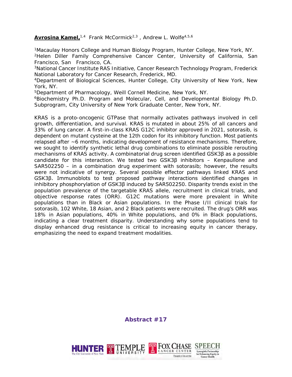#### Avrosina Kamel,<sup>1,4</sup> Frank McCormick<sup>2,3</sup>, Andrew L. Wolfe<sup>4,5,6</sup>

1Macaulay Honors College and Human Biology Program, Hunter College, New York, NY. 2Helen Diller Family Comprehensive Cancer Center, University of California, San Francisco, San Francisco, CA.

3National Cancer Institute RAS Initiative, Cancer Research Technology Program, Frederick National Laboratory for Cancer Research, Frederick, MD.

4Department of Biological Sciences, Hunter College, City University of New York, New York, NY.

5Department of Pharmacology, Weill Cornell Medicine, New York, NY.

6Biochemistry Ph.D. Program and Molecular, Cell, and Developmental Biology Ph.D. Subprogram, City University of New York Graduate Center, New York, NY.

KRAS is a proto-oncogenic GTPase that normally activates pathways involved in cell growth, differentiation, and survival. KRAS is mutated in about 25% of all cancers and 33% of lung cancer. A first-in-class KRAS G12C inhibitor approved in 2021, sotorasib, is dependent on mutant cysteine at the 12th codon for its inhibitory function. Most patients relapsed after ~6 months, indicating development of resistance mechanisms. Therefore, we sought to identify synthetic lethal drug combinations to eliminate possible rerouting mechanisms of KRAS activity. A combinatorial drug screen identified GSK3β as a possible candidate for this interaction. We tested two GSK3β inhibitors – Kenpaullone and SAR502250 – in a combination drug experiment with sotorasib; however, the results were not indicative of synergy. Several possible effector pathways linked KRAS and GSK3β. Immunoblots to test proposed pathway interactions identified changes in inhibitory phosphorylation of GSK3β induced by SAR502250. Disparity trends exist in the population prevalence of the targetable KRAS allele, recruitment in clinical trials, and objective response rates (ORR). G12C mutations were more prevalent in White populations than in Black or Asian populations. In the Phase I/II clinical trials for sotorasib, 102 White, 18 Asian, and 2 Black patients were recruited. The drug's ORR was 18% in Asian populations, 40% in White populations, and 0% in Black populations, indicating a clear treatment disparity. Understanding why some populations tend to display enhanced drug resistance is critical to increasing equity in cancer therapy, emphasizing the need to expand treatment modalities.

**Abstract #17**

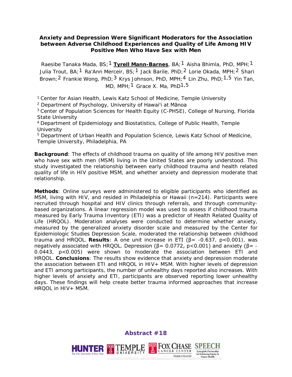#### **Anxiety and Depression Were Significant Moderators for the Association between Adverse Childhood Experiences and Quality of Life Among HIV Positive Men Who Have Sex with Men**

Raesibe Tanaka Mada, BS;1 **Tyrell Mann-Barnes**, BA;1 Aisha Bhimla, PhD, MPH;1 Julia Trout, BA;<sup>1</sup> Ra'Ann Merceir, BS;<sup>1</sup> Jack Barile, PhD;<sup>2</sup> Lorie Okada, MPH;<sup>2</sup> Shari Brown;<sup>2</sup> Frankie Wong, PhD;<sup>3</sup> Krys Johnson, PhD, MPH;<sup>4</sup> Lin Zhu, PhD;<sup>1,5</sup> Yin Tan, MD, MPH;<sup>1</sup> Grace X. Ma, PhD<sup>1,5</sup>

<sup>1</sup> Center for Asian Health, Lewis Katz School of Medicine, Temple University

<sup>2</sup> Department of Psychology, University of Hawai'i at Mānoa

<sup>3</sup> Center of Population Sciences for Health Equity (C-PHSE), College of Nursing, Florida State University

<sup>4</sup> Department of Epidemiology and Biostatistics, College of Public Health, Temple **University** 

<sup>5</sup> Department of Urban Health and Population Science, Lewis Katz School of Medicine, Temple University, Philadelphia, PA

**Background**: The effects of childhood trauma on quality of life among HIV positive men who have sex with men (MSM) living in the United States are poorly understood. This study investigated the relationship between early childhood trauma and health related quality of life in HIV positive MSM, and whether anxiety and depression moderate that relationship.

**Methods**: Online surveys were administered to eligible participants who identified as MSM, living with HIV, and resided in Philadelphia or Hawaii (n=214). Participants were recruited through hospital and HIV clinics through referrals, and through communitybased organizations. A linear regression model was used to assess if childhood trauma measured by Early Trauma Inventory (ETI) was a predictor of Health Related Quality of Life (HRQOL). Moderation analyses were conducted to determine whether anxiety, measured by the generalized anxiety disorder scale and measured by the Center for Epidemiologic Studies Depression Scale, moderated the relationship between childhood trauma and HRQOL. **Results**: A one unit increase in ETI (β= -0.637, p<0.001), was negatively associated with HRQOL. Depression ( $\beta$  = 0.0772, p < 0.001) and anxiety ( $\beta$  = -0.0443, p<0.005) were shown to moderate the association between ETI and HRQOL. **Conclusions**: The results show evidence that anxiety and depression moderate the association between ETI and HRQOL in HIV+ MSM. With higher levels of depression and ETI among participants, the number of unhealthy days reported also increases. With higher levels of anxiety and ETI, participants are observed reporting lower unhealthy days. These findings will help create better trauma informed approaches that increase HRQOL in HIV+ MSM.

**Abstract #18**

T FOX CHASE SP

TEMPLE HEALTH

**Syneroistic Partnership** 

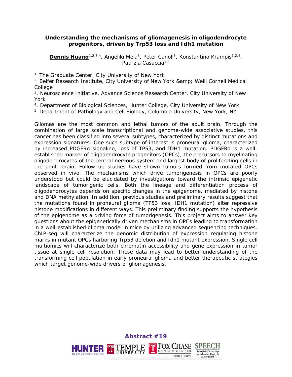#### **Understanding the mechanisms of gliomagenesis in oligodendrocyte progenitors, driven by Trp53 loss and Idh1 mutation**

**Dennis Huang**<sup>1,2,3,4</sup>, Angeliki Mela<sup>5</sup>, Peter Canoll<sup>5</sup>, Konstantino Krampis<sup>1,2,4</sup>, Patrizia Casaccia<sup>1,3</sup>

<sup>1.</sup> The Graduate Center, City University of New York

<sup>2.</sup> Belfer Research Institute, City University of New York & amp; Weill Cornell Medical **College** 

3. Neuroscience Initiative, Advance Science Research Center, City University of New York

4. Department of Biological Sciences, Hunter College, City University of New York

<sup>5.</sup> Department of Pathology and Cell Biology, Columbia University, New York, NY

Gliomas are the most common and lethal tumors of the adult brain. Through the combination of large scale transcriptional and genome-wide associative studies, this cancer has been classified into several subtypes, characterized by distinct mutations and expression signatures. One such subtype of interest is proneural glioma, characterized by increased PDGFRa signaling, loss of TP53, and IDH1 mutation. PDGFRa is a wellestablished marker of oligodendrocyte progenitors (OPCs), the precursors to myelinating oligodendrocytes of the central nervous system and largest body of proliferating cells in the adult brain. Follow up studies have shown tumors formed from mutated OPCs observed in vivo. The mechanisms which drive tumorigenesis in OPCs are poorly understood but could be elucidated by investigations toward the intrinsic epigenetic landscape of tumorigenic cells. Both the lineage and differentiation process of oligodendrocytes depends on specific changes in the epigenome, mediated by histone and DNA methylation. In addition, previous studies and preliminary results suggest that the mutations found in proneural glioma (TP53 loss, IDH1 mutation) alter repressive histone modifications in different ways. This preliminary finding supports the hypothesis of the epigenome as a driving force of tumorigenesis. This project aims to answer key questions about the epigenetically driven mechanisms in OPCs leading to transformation in a well-established glioma model in mice by utilizing advanced sequencing techniques. ChIP-seq will characterize the genomic distribution of expression regulating histone marks in mutant OPCs harboring Trp53 deletion and Idh1 mutant expression. Single cell multiomics will characterize both chromatin accessibility and gene expression in tumor tissue at single cell resolution. These data may lead to better understanding of the transforming cell population in early proneural glioma and better therapeutic strategies which target genome-wide drivers of gliomagenesis.

**Abstract #19**

**TEMPLE** 

UNIVERSITY

**FOX CHASE** 

TEMPLE HEALTH

**Syneroistic Partnership** 

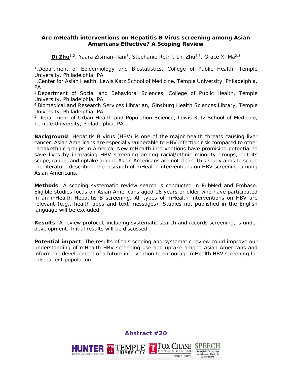#### **Are mHealth interventions on Hepatitis B Virus screening among Asian Americans Effective? A Scoping Review**

**Di Zhu**<sup>1,2</sup>, Yaara Zisman-Ilani<sup>3</sup>, Stephanie Roth<sup>4</sup>, Lin Zhu<sup>2,5</sup>, Grace X. Ma<sup>2,5</sup>

1.Department of Epidemiology and Biostatistics, College of Public Health, Temple University, Philadelphia, PA

2.Center for Asian Health, Lewis Katz School of Medicine, Temple University, Philadelphia, PA

3.Department of Social and Behavioral Sciences, College of Public Health, Temple University, Philadelphia, PA

4.Biomedical and Research Services Librarian, Ginsburg Health Sciences Library, Temple University, Philadelphia, PA

5.Department of Urban Health and Population Science, Lewis Katz School of Medicine, Temple University, Philadelphia, PA

**Background**: Hepatitis B virus (HBV) is one of the major health threats causing liver cancer. Asian Americans are especially vulnerable to HBV infection risk compared to other racial/ethnic groups in America. New mHealth interventions have promising potential to save lives by increasing HBV screening among racial/ethnic minority groups, but its scope, range, and uptake among Asian Americans are not clear. This study aims to scope the literature describing the research of mHealth interventions on HBV screening among Asian Americans.

**Methods**: A scoping systematic review search is conducted in PubMed and Embase. Eligible studies focus on Asian Americans aged 18 years or older who have participated in an mHealth Hepatitis B screening. All types of mHealth interventions on HBV are relevant (e.g., health apps and text messages). Studies not published in the English language will be excluded.

**Results**: A review protocol, including systematic search and records screening, is under development. Initial results will be discussed.

**Potential impact**: The results of this scoping and systematic review could improve our understanding of mHealth HBV screening use and uptake among Asian Americans and inform the development of a future intervention to encourage mHealth HBV screening for this patient population.

**Abstract #20**

THE FOX CHASE SPEECH

TEMPLE HEALTH

CANCER CENTER

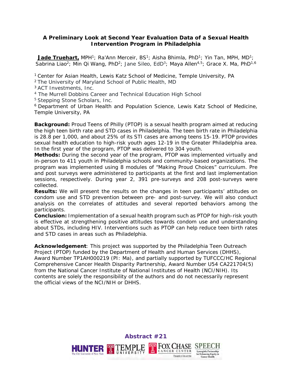#### **A Preliminary Look at Second Year Evaluation Data of a Sexual Health Intervention Program in Philadelphia**

**Jade Truehart,** MPH<sup>1</sup>; Ra'Ann Merceir, BS<sup>1</sup>; Aisha Bhimla, PhD<sup>1</sup>; Yin Tan, MPH, MD<sup>1</sup>; Sabrina Liao<sup>2</sup>; Min Qi Wang, PhD<sup>2</sup>; Jane Sileo, EdD<sup>3</sup>; Maya Allen<sup>4,5</sup>; Grace X, Ma, PhD<sup>1,6</sup>

<sup>1</sup> Center for Asian Health, Lewis Katz School of Medicine, Temple University, PA

2 The University of Maryland School of Public Health, MD

3 ACT Investments, Inc.

<sup>4</sup> The Murrell Dobbins Career and Technical Education High School

5 Stepping Stone Scholars, Inc.

6 Department of Urban Health and Population Science, Lewis Katz School of Medicine, Temple University, PA

**Background:** Proud Teens of Philly (PTOP) is a sexual health program aimed at reducing the high teen birth rate and STD cases in Philadelphia. The teen birth rate in Philadelphia is 28.8 per 1,000, and about 25% of its STI cases are among teens 15-19. PTOP provides sexual health education to high-risk youth ages 12-19 in the Greater Philadelphia area. In the first year of the program, PTOP was delivered to 304 youth.

**Methods:** During the second year of the program, PTOP was implemented virtually and in-person to 411 youth in Philadelphia schools and community-based organizations. The program was implemented using 8 modules of "Making Proud Choices" curriculum. Pre and post surveys were administered to participants at the first and last implementation sessions, respectively. During year 2, 391 pre-surveys and 208 post-surveys were collected.

**Results:** We will present the results on the changes in teen participants' attitudes on condom use and STD prevention between pre- and post-survey. We will also conduct analysis on the correlates of attitudes and several reported behaviors among the participants.

**Conclusion:** Implementation of a sexual health program such as PTOP for high-risk youth is effective at strengthening positive attitudes towards condom use and understanding about STDs, including HIV. Interventions such as PTOP can help reduce teen birth rates and STD cases in areas such as Philadelphia.

**Acknowledgement**: This project was supported by the Philadelphia Teen Outreach Project (PTOP) funded by the Department of Health and Human Services (DHHS), Award Number TP1AH000219 (PI: Ma), and partially supported by TUFCCC/HC Regional Comprehensive Cancer Health Disparity Partnership, Award Number U54 CA221704(5) from the National Cancer Institute of National Institutes of Health (NCI/NIH). Its contents are solely the responsibility of the authors and do not necessarily represent the official views of the NCI/NIH or DHHS.

> **Abstract #21FRIED FOX CHASE SPEEC TEMPLE Syneroistic Partnership** UNIVERSITY TEMPLE HEALTH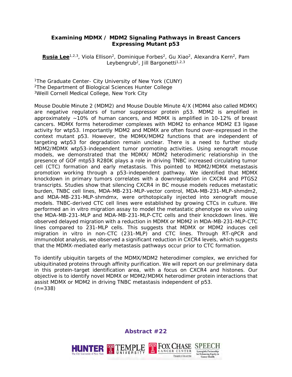#### **Examining MDMX / MDM2 Signaling Pathways in Breast Cancers Expressing Mutant p53**

**Rusia Lee**<sup>1,2,3</sup>, Viola Ellison<sup>2</sup>, Dominique Forbes<sup>2</sup>, Gu Xiao<sup>2</sup>, Alexandra Kern<sup>2</sup>, Pam Leybengrub<sup>2</sup>, Jill Bargonetti<sup>1,2,3</sup>

<sup>1</sup>The Graduate Center- City University of New York (CUNY) 2The Department of Biological Sciences Hunter College 3Weill Cornell Medical College, New York City

Mouse Double Minute 2 (MDM2) and Mouse Double Minute 4/X (MDM4 also called MDMX) are negative regulators of tumor suppressor protein p53. MDM2 is amplified in approximately ~10% of human cancers, and MDMX is amplified in 10-12% of breast cancers. MDMX forms heterodimer complexes with MDM2 to enhance MDM2 E3 ligase activity for wtp53. Importantly MDM2 and MDMX are often found over-expressed in the context mutant p53. However, the MDMX/MDM2 functions that are independent of targeting wtp53 for degradation remain unclear. There is a need to further study MDM2/MDMX wtp53-independent tumor promoting activities. Using xenograft mouse models, we demonstrated that the MDMX/ MDM2 heterodimeric relationship in the presence of GOF mtp53 R280K plays a role in driving TNBC increased circulating tumor cell (CTC) formation and early metastasis. This pointed to MDM2/MDMX metastasis promotion working through a p53-independent pathway. We identified that MDMX knockdown in primary tumors correlates with a downregulation in CXCR4 and PTGS2 transcripts. Studies show that silencing CXCR4 in BC mouse models reduces metastatic burden, TNBC cell lines, MDA-MB-231-MLP-vector control, MDA-MB-231-MLP-shmdm2, and MDA-MB-231-MLP-shmdmx, were orthotopically injected into xenograft mouse models. TNBC-derived CTC cell lines were established by growing CTCs in culture. We performed an in vitro migration assay to model the metastatic phenotype ex vivo using the MDA-MB-231-MLP and MDA-MB-231-MLP-CTC cells and their knockdown lines. We observed delayed migration with a reduction in MDMX or MDM2 in MDA-MB-231-MLP-CTC lines compared to 231-MLP cells. This suggests that MDMX or MDM2 induces cell migration in vitro in non-CTC (231-MLP) and CTC lines. Through RT-qPCR and immunoblot analysis, we observed a significant reduction in CXCR4 levels, which suggests that the MDMX-mediated early metastasis pathways occur prior to CTC formation.

To identify ubiquitin targets of the MDMX/MDM2 heterodimer complex, we enriched for ubiquitinated proteins through affinity purification. We will report on our preliminary data in this protein-target identification area, with a focus on CXCR4 and histones. Our objective is to identify novel MDMX or MDM2/MDMX heterodimer protein interactions that assist MDMX or MDM2 in driving TNBC metastasis independent of p53.  $(n=338)$ 

**Abstract #22**

**Syneroistic Partnership** 

TEMPLE HEALTH

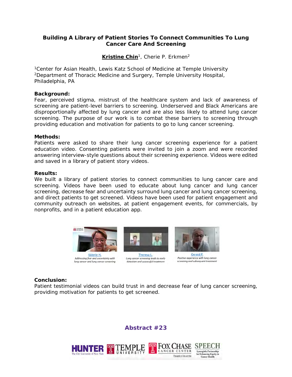#### **Building A Library of Patient Stories To Connect Communities To Lung Cancer Care And Screening**

#### Kristine Chin<sup>1</sup>, Cherie P. Erkmen<sup>2</sup>

1Center for Asian Health, Lewis Katz School of Medicine at Temple University 2Department of Thoracic Medicine and Surgery, Temple University Hospital, Philadelphia, PA

#### **Background:**

Fear, perceived stigma, mistrust of the healthcare system and lack of awareness of screening are patient-level barriers to screening. Underserved and Black Americans are disproportionally affected by lung cancer and are also less likely to attend lung cancer screening. The purpose of our work is to combat these barriers to screening through providing education and motivation for patients to go to lung cancer screening.

#### **Methods:**

Patients were asked to share their lung cancer screening experience for a patient education video. Consenting patients were invited to join a zoom and were recorded answering interview-style questions about their screening experience. Videos were edited and saved in a library of patient story videos.

#### **Results:**

We built a library of patient stories to connect communities to lung cancer care and screening. Videos have been used to educate about lung cancer and lung cancer screening, decrease fear and uncertainty surround lung cancer and lung cancer screening, and direct patients to get screened. Videos have been used for patient engagement and community outreach on websites, at patient engagement events, for commercials, by nonprofits, and in a patient education app.



#### **Conclusion:**

Patient testimonial videos can build trust in and decrease fear of lung cancer screening, providing motivation for patients to get screened.

#### **Abstract #23**

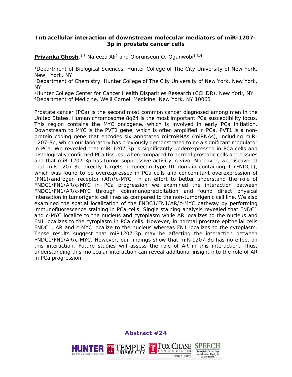#### **Intracellular interaction of downstream molecular mediators of miR-1207- 3p in prostate cancer cells**

**Priyanka Ghosh**,<sup>1,3</sup> Nafeeza Ali<sup>2</sup> and Olorunseun O. Ogunwobi<sup>1,3,4</sup>

1Department of Biological Sciences, Hunter College of The City University of New York, New York, NY

2Department of Chemistry, Hunter College of The City University of New York, New York, NY

3Hunter College Center for Cancer Health Disparities Research (CCHDR), New York, NY 4Department of Medicine, Weill Cornell Medicine, New York, NY 10065

Prostate cancer (PCa) is the second most common cancer diagnosed among men in the United States. Human chromosome 8q24 is the most important PCa susceptibility locus. This region contains the MYC oncogene, which is involved in early PCa initiation. Downstream to MYC is the PVT1 gene, which is often amplified in PCa. PVT1 is a nonprotein coding gene that encodes six annotated microRNAs (miRNAs), including miR-1207-3p, which our laboratory has previously demonstrated to be a significant modulator in PCa. We revealed that miR-1207-3p is significantly underexpressed in PCa cells and histologically confirmed PCa tissues, when compared to normal prostatic cells and tissues and that miR-1207-3p has tumor suppressive activity in vivo. Moreover, we discovered that miR-1207-3p directly targets fibronectin type III domain containing 1 (FNDC1), which was found to be overexpressed in PCa cells and concomitant overexpression of (FN1)/androgen receptor (AR)/c-MYC. In an effort to better understand the role of FNDC1/FN1/AR/c-MYC in PCa progression we examined the interaction between FNDC1/FN1/AR/c-MYC through coimmunoprecipitation and found direct physical interaction in tumorigenic cell lines as compared to the non-tumorigenic cell line. We also examined the spatial localization of the FNDC1/FN1/AR/c-MYC pathway by performing immunofluorescence staining in PCa cells. Single staining analysis revealed that FNDC1 and c-MYC localize to the nucleus and cytoplasm while AR localizes to the nucleus and FN1 localizes to the cytoplasm in PCa cells. However, in normal prostate epithelial cells FNDC1, AR and c-MYC localize to the nucleus whereas FN1 localizes to the cytoplasm. These results suggest that miR1207-3p may be affecting the interaction between FNDC1/FN1/AR/c-MYC. However, our findings show that miR-1207-3p has no effect on this interaction. Future studies will assess the role of AR in this interaction. Thus, understanding this molecular interaction can reveal additional insight into the role of AR in PCa progression.

**Abstract #24**

THE FOX CHASE SPEECH

TEMPLE HEALTH

CANCER CENTER

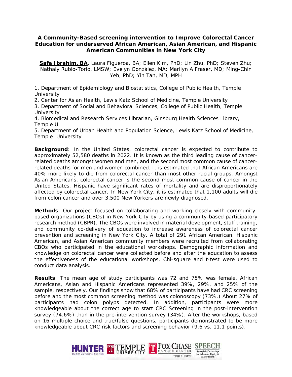#### **A Community-Based screening intervention to Improve Colorectal Cancer Education for underserved African American, Asian American, and Hispanic American Communities in New York City**

**Safa Ibrahim, BA**, Laura Figueroa, BA; Ellen Kim, PhD; Lin Zhu, PhD; Steven Zhu; Nathaly Rubio-Torio, LMSW; Evelyn González, MA; Marilyn A Fraser, MD; Ming-Chin Yeh, PhD; Yin Tan, MD, MPH

1. Department of Epidemiology and Biostatistics, College of Public Health, Temple **University** 

2. Center for Asian Health, Lewis Katz School of Medicine, Temple University

3. Department of Social and Behavioral Sciences, College of Public Health, Temple **University** 

4. Biomedical and Research Services Librarian, Ginsburg Health Sciences Library, Temple U.

5. Department of Urban Health and Population Science, Lewis Katz School of Medicine, Temple University

**Background**: In the United States, colorectal cancer is expected to contribute to approximately 52,580 deaths in 2022. It is known as the third leading cause of cancerrelated deaths amongst women and men, and the second most common cause of cancerrelated deaths for men and women combined. It is estimated that African Americans are 40% more likely to die from colorectal cancer than most other racial groups. Amongst Asian Americans, colorectal cancer is the second most common cause of cancer in the United States. Hispanic have significant rates of mortality and are disproportionately affected by colorectal cancer. In New York City, it is estimated that 1,100 adults will die from colon cancer and over 3,500 New Yorkers are newly diagnosed.

**Methods**: Our project focused on collaborating and working closely with communitybased organizations (CBOs) in New York City by using a community-based participatory research method (CBPR). The CBOs were involved in material development, staff training, and community co-delivery of education to increase awareness of colorectal cancer prevention and screening in New York City. A total of 291 African American, Hispanic American, and Asian American community members were recruited from collaborating CBOs who participated in the educational workshops. Demographic information and knowledge on colorectal cancer were collected before and after the education to assess the effectiveness of the educational workshops. Chi-square and t-test were used to conduct data analysis.

**Results**: The mean age of study participants was 72 and 75% was female. African Americans, Asian and Hispanic Americans represented 39%, 29%, and 25% of the sample, respectively. Our findings show that 68% of participants have had CRC screening before and the most common screening method was colonoscopy (73%.) About 27% of participants had colon polyps detected. In addition, participants were more knowledgeable about the correct age to start CRC Screening in the post-intervention survey (74.6%) than in the pre-intervention survey (34%). After the workshops, based on 16 multiple choice and true/false questions, participants demonstrated to be more knowledgeable about CRC risk factors and screening behavior (9.6 vs. 11.1 points).

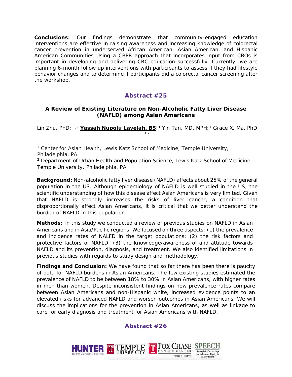**Conclusions**: Our findings demonstrate that community-engaged education interventions are effective in raising awareness and increasing knowledge of colorectal cancer prevention in underserved African American, Asian American, and Hispanic American Communities Using a CBPR approach that incorporates input from CBOs is important in developing and delivering CRC education successfully. Currently, we are planning 6-month follow up interventions with participants to assess if they had lifestyle behavior changes and to determine if participants did a colorectal cancer screening after the workshop.

#### **Abstract #25**

#### **A Review of Existing Literature on Non-Alcoholic Fatty Liver Disease (NAFLD) among Asian Americans**

Lin Zhu, PhD; 1,2 **Yassah Nupolu Lavelah, BS**;1 Yin Tan, MD, MPH;1 Grace X. Ma, PhD 1,2

<sup>1</sup> Center for Asian Health, Lewis Katz School of Medicine, Temple University, Philadelphia, PA

<sup>2</sup> Department of Urban Health and Population Science, Lewis Katz School of Medicine, Temple University, Philadelphia, PA

**Background:** Non-alcoholic fatty liver disease (NAFLD) affects about 25% of the general population in the US. Although epidemiology of NAFLD is well studied in the US, the scientific understanding of how this disease affect Asian Americans is very limited. Given that NAFLD is strongly increases the risks of liver cancer, a condition that disproportionally affect Asian Americans, it is critical that we better understand the burden of NAFLD in this population.

**Methods:** In this study we conducted a review of previous studies on NAFLD in Asian Americans and in Asia/Pacific regions. We focused on three aspects: (1) the prevalence and incidence rates of NALFD in the target populations; (2) the risk factors and protective factors of NAFLD; (3) the knowledge/awareness of and attitude towards NAFLD and its prevention, diagnosis, and treatment. We also identified limitations in previous studies with regards to study design and methodology.

**Findings and Conclusion:** We have found that so far there has been there is paucity of data for NAFLD burdens in Asian Americans. The few existing studies estimated the prevalence of NAFLD to be between 18% to 30% in Asian Americans, with higher rates in men than women. Despite inconsistent findings on how prevalence rates compare between Asian Americans and non-Hispanic white, increased evidence points to an elevated risks for advanced NAFLD and worsen outcomes in Asian Americans. We will discuss the implications for the prevention in Asian Americans, as well as linkage to care for early diagnosis and treatment for Asian Americans with NAFLD.

#### **Abstract #26**

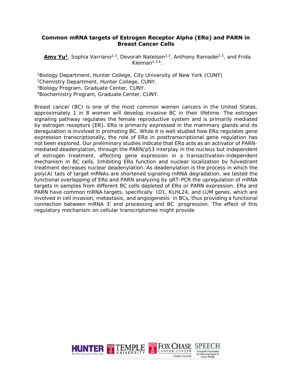#### **Common mRNA targets of Estrogen Receptor Alpha (ERα) and PARN in Breast Cancer Cells**

Amy Yu<sup>1</sup>, Sophia Varriano<sup>2,3</sup>, Devorah Natelson<sup>2,3</sup>, Anthony Ramadei<sup>2,3</sup>, and Frida Kleiman2,3,4.

1Biology Department, Hunter College, City University of New York (CUNY) 2Chemistry Department, Hunter College, CUNY.

3Biology Program, Graduate Center, CUNY. 4Biochemistry Program, Graduate Center, CUNY.

Breast cancer (BC) is one of the most common women cancers in the United States, approximately 1 in 8 women will develop invasive BC in their lifetime. The estrogen signaling pathway regulates the female reproductive system and is primarily mediated by estrogen receptors (ER). ERα is primarily expressed in the mammary glands and its deregulation is involved in promoting BC. While it is well studied how ERα regulates gene expression transcriptionally, the role of ERα in posttranscriptional gene regulation has not been explored. Our preliminary studies indicate that ERα acts as an activator of PARNmediated deadenylation, through the PARN/p53 interplay in the nucleus but independent of estrogen treatment, affecting gene expression in a transactivation-independent mechanism in BC cells. Inhibiting ERα function and nuclear localization by fulvestrant treatment decreases nuclear deadenylation. As deadenylation is the process in which the poly(A) tails of target mRNAs are shortened signaling mRNA degradation, we tested the functional overlapping of ERα and PARN analyzing by qRT-PCR the upregulation of mRNA targets in samples from different BC cells depleted of ERα or PARN expression. ERa and PARN have common mRNA targets, specifically ID1, KLHL24, and LUM genes, which are involved in cell invasion, metastasis, and angiogenesis in BCs, thus providing a functional connection between mRNA 3' end processing and BC progression. The effect of this regulatory mechanism on cellular transcriptomes might provide

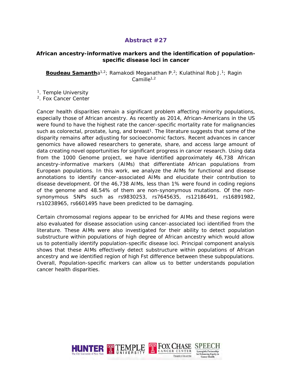#### **African ancestry-informative markers and the identification of populationspecific disease loci in cancer**

**Boudeau Samanth**a<sup>1,2</sup>; Ramakodi Meganathan P.<sup>2</sup>; Kulathinal Rob J.<sup>1</sup>; Ragin  $Camille<sup>1,2</sup>$ 

<sup>1</sup>. Temple University

2. Fox Cancer Center

Cancer health disparities remain a significant problem affecting minority populations, especially those of African ancestry. As recently as 2014, African-Americans in the US were found to have the highest rate the cancer-specific mortality rate for malignancies such as colorectal, prostate, lung, and breast<sup>1</sup>. The literature suggests that some of the disparity remains after adjusting for socioeconomic factors. Recent advances in cancer genomics have allowed researchers to generate, share, and access large amount of data creating novel opportunities for significant progress in cancer research. Using data from the 1000 Genome project, we have identified approximately 46,738 African ancestry-informative markers (AIMs) that differentiate African populations from European populations. In this work, we analyze the AIMs for functional and disease annotations to identify cancer-associated AIMs and elucidate their contribution to disease development. Of the 46,738 AIMs, less than 1% were found in coding regions of the genome and 48.54% of them are non-synonymous mutations. Of the nonsynonymous SNPs such as rs9830253, rs7645635, rs12186491, rs16891982, rs10238965, rs6601495 have been predicted to be damaging.

Certain chromosomal regions appear to be enriched for AIMs and these regions were also evaluated for disease association using cancer-associated loci identified from the literature. These AIMs were also investigated for their ability to detect population substructure within populations of high degree of African ancestry which would allow us to potentially identify population-specific disease loci. Principal component analysis shows that these AIMs effectively detect substructure within populations of African ancestry and we identified region of high Fst difference between these subpopulations. Overall, Population-specific markers can allow us to better understands population cancer health disparities.

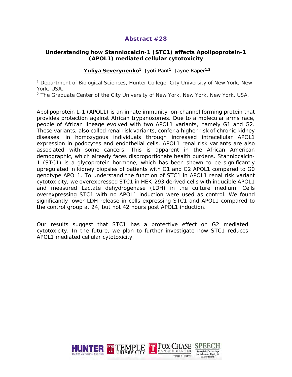#### **Understanding how Stanniocalcin-1 (STC1) affects Apolipoprotein-1 (APOL1) mediated cellular cytotoxicity**

#### Yuliya Severynenko<sup>1</sup>, Jyoti Pant<sup>1</sup>, Jayne Raper<sup>1,2</sup>

<sup>1</sup> Department of Biological Sciences, Hunter College, City University of New York, New York, USA.

<sup>2</sup> The Graduate Center of the City University of New York, New York, New York, USA.

Apolipoprotein L-1 (APOL1) is an innate immunity ion-channel forming protein that provides protection against African trypanosomes. Due to a molecular arms race, people of African lineage evolved with two APOL1 variants, namely G1 and G2. These variants, also called renal risk variants, confer a higher risk of chronic kidney diseases in homozygous individuals through increased intracellular *APOL1*  expression in podocytes and endothelial cells. APOL1 renal risk variants are also associated with some cancers. This is apparent in the African American demographic, which already faces disproportionate health burdens. Stanniocalcin-1 (STC1) is a glycoprotein hormone, which has been shown to be significantly upregulated in kidney biopsies of patients with G1 and G2 APOL1 compared to G0 genotype APOL1. To understand the function of STC1 in APOL1 renal risk variant cytotoxicity, we overexpressed *STC1* in HEK-293 derived cells with inducible *APOL1*  and measured Lactate dehydrogenase (LDH) in the culture medium. Cells overexpressing STC1 with no APOL1 induction were used as control. We found significantly lower LDH release in cells expressing STC1 and APOL1 compared to the control group at 24, but not 42 hours post APOL1 induction.

Our results suggest that STC1 has a protective effect on G2 mediated cytotoxicity. In the future, we plan to further investigate how STC1 reduces APOL1 mediated cellular cytotoxicity.

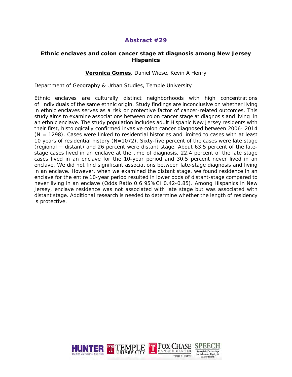#### **Ethnic enclaves and colon cancer stage at diagnosis among New Jersey Hispanics**

#### **Veronica Gomes**, Daniel Wiese, Kevin A Henry

Department of Geography & Urban Studies, Temple University

Ethnic enclaves are culturally distinct neighborhoods with high concentrations of individuals of the same ethnic origin. Study findings are inconclusive on whether living in ethnic enclaves serves as a risk or protective factor of cancer-related outcomes. This study aims to examine associations between colon cancer stage at diagnosis and living in an ethnic enclave. The study population includes adult Hispanic New Jersey residents with their first, histologically confirmed invasive colon cancer diagnosed between 2006- 2014  $(N = 1298)$ . Cases were linked to residential histories and limited to cases with at least 10 years of residential history (N=1072). Sixty-five percent of the cases were late stage (regional + distant) and 26 percent were distant stage. About 63.5 percent of the latestage cases lived in an enclave at the time of diagnosis, 22.4 percent of the late stage cases lived in an enclave for the 10-year period and 30.5 percent never lived in an enclave. We did not find significant associations between late-stage diagnosis and living in an enclave. However, when we examined the distant stage, we found residence in an enclave for the entire 10-year period resulted in lower odds of distant-stage compared to never living in an enclave (Odds Ratio 0.6 95%CI 0.42-0.85). Among Hispanics in New Jersey, enclave residence was not associated with late stage but was associated with distant stage. Additional research is needed to determine whether the length of residency is protective.

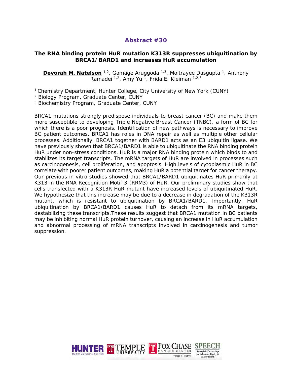#### **The RNA binding protein HuR mutation K313R suppresses ubiquitination by BRCA1/BARD1 and increases HuR accumulation**

**Devorah M. Natelson** <sup>1,2</sup>, Gamage Aruggoda <sup>1,3</sup>, Moitrayee Dasgupta <sup>1</sup>, Anthony Ramadei <sup>1,2</sup>, Amy Yu<sup>1</sup>, Frida E. Kleiman <sup>1,2,3</sup>

<sup>1</sup> Chemistry Department, Hunter College, City University of New York (CUNY) <sup>2</sup> Biology Program, Graduate Center, CUNY

<sup>3</sup> Biochemistry Program, Graduate Center, CUNY

BRCA1 mutations strongly predispose individuals to breast cancer (BC) and make them more susceptible to developing Triple Negative Breast Cancer (TNBC), a form of BC for which there is a poor prognosis. Identification of new pathways is necessary to improve BC patient outcomes. BRCA1 has roles in DNA repair as well as multiple other cellular processes. Additionally, BRCA1 together with BARD1 acts as an E3 ubiquitin ligase. We have previously shown that BRCA1/BARD1 is able to ubiquitinate the RNA binding protein HuR under non-stress conditions. HuR is a major RNA binding protein which binds to and stabilizes its target transcripts. The mRNA targets of HuR are involved in processes such as carcinogenesis, cell proliferation, and apoptosis. High levels of cytoplasmic HuR in BC correlate with poorer patient outcomes, making HuR a potential target for cancer therapy. Our previous in vitro studies showed that BRCA1/BARD1 ubiquitinates HuR primarily at K313 in the RNA Recognition Motif 3 (RRM3) of HuR. Our preliminary studies show that cells transfected with a K313R HuR mutant have increased levels of ubiquitinated HuR. We hypothesize that this increase may be due to a decrease in degradation of the K313R mutant, which is resistant to ubiquitination by BRCA1/BARD1. Importantly, HuR ubiquitination by BRCA1/BARD1 causes HuR to detach from its mRNA targets, destabilizing these transcripts.These results suggest that BRCA1 mutation in BC patients may be inhibiting normal HuR protein turnover, causing an increase in HuR accumulation and abnormal processing of mRNA transcripts involved in carcinogenesis and tumor suppression.

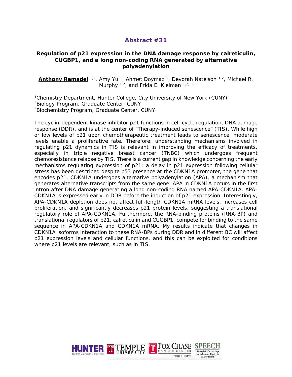#### **Regulation of p21 expression in the DNA damage response by calreticulin, CUGBP1, and a long non-coding RNA generated by alternative polyadenylation**

**Anthony Ramadei** <sup>1,2</sup>, Amy Yu <sup>1</sup>, Ahmet Doymaz <sup>1</sup>, Devorah Natelson <sup>1,2</sup>, Michael R. Murphy  $1,2$ , and Frida E. Kleiman  $1,2,3$ 

1Chemistry Department, Hunter College, City University of New York (CUNY) 2Biology Program, Graduate Center, CUNY 3Biochemistry Program, Graduate Center, CUNY

The cyclin-dependent kinase inhibitor p21 functions in cell-cycle regulation, DNA damage response (DDR), and is at the center of "Therapy-induced senescence" (TIS). While high or low levels of p21 upon chemotherapeutic treatment leads to senescence, moderate levels enable a proliferative fate. Therefore, understanding mechanisms involved in regulating p21 dynamics in TIS is relevant in improving the efficacy of treatments, especially in triple negative breast cancer (TNBC) which undergoes frequent chemoresistance relapse by TIS. There is a current gap in knowledge concerning the early mechanisms regulating expression of p21; a delay in p21 expression following cellular stress has been described despite p53 presence at the CDKN1A promoter, the gene that encodes p21. CDKN1A undergoes alternative polyadenylation (APA), a mechanism that generates alternative transcripts from the same gene. APA in CDKN1A occurs in the first intron after DNA damage generating a long non-coding RNA named APA-CDKN1A. APA-CDKN1A is expressed early in DDR before the induction of p21 expression. Interestingly, APA-CDKN1A depletion does not affect full-length CDKN1A mRNA levels, increases cell proliferation, and significantly decreases p21 protein levels, suggesting a translational regulatory role of APA-CDKN1A. Furthermore, the RNA-binding proteins (RNA-BP) and translational regulators of p21, calreticulin and CUGBP1, compete for binding to the same sequence in APA-CDKN1A and CDKN1A mRNA. My results indicate that changes in CDKN1A isoforms interaction to these RNA-BPs during DDR and in different BC will affect p21 expression levels and cellular functions, and this can be exploited for conditions where p21 levels are relevant, such as in TIS.

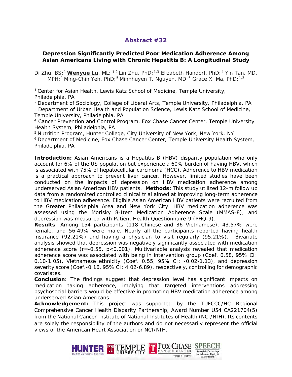#### **Depression Significantly Predicted Poor Medication Adherence Among Asian Americans Living with Chronic Hepatitis B: A Longitudinal Study**

Di Zhu, BS;<sup>1</sup> Wenyue Lu, ML; <sup>1,2</sup> Lin Zhu, PhD; <sup>1,3</sup> Elizabeth Handorf, PhD; <sup>4</sup> Yin Tan, MD, MPH;<sup>1</sup> Ming-Chin Yeh, PhD;<sup>5</sup> Minhhuyen T. Nguyen, MD;<sup>6</sup> Grace X. Ma, PhD;<sup>1,3</sup>

1 Center for Asian Health, Lewis Katz School of Medicine, Temple University, Philadelphia, PA

2 Department of Sociology, College of Liberal Arts, Temple University, Philadelphia, PA <sup>3</sup> Department of Urban Health and Population Science, Lewis Katz School of Medicine, Temple University, Philadelphia, PA

<sup>4</sup> Cancer Prevention and Control Program, Fox Chase Cancer Center, Temple University Health System, Philadelphia, PA

5 Nutrition Program, Hunter College, City University of New York, New York, NY

6 Department of Medicine, Fox Chase Cancer Center, Temple University Health System, Philadelphia, PA

**Introduction:** Asian Americans is a Hepatitis B (HBV) disparity population who only account for 6% of the US population but experience a 60% burden of having HBV, which is associated with 75% of hepatocellular carcinoma (HCC). Adherence to HBV medication is a practical approach to prevent liver cancer. However, limited studies have been conducted on the impacts of depression on HBV medication adherence among underserved Asian American HBV patients. **Methods:** This study utilized 12-m follow up data from a randomized controlled clinical trial aimed at improving long-term adherence to HBV medication adherence. Eligible Asian American HBV patients were recruited from the Greater Philadelphia Area and New York City. HBV medication adherence was assessed using the Morisky 8-Item Medication Adherence Scale (MMAS-8), and depression was measured with Patient Health Questionnaire-9 (PHQ-9).

**Results**: Among 154 participants (118 Chinese and 36 Vietnamese), 43.57% were female, and 56.49% were male. Nearly all the participants reported having health insurance (92.21%) and having a physician to visit regularly (95.21%). Bivariate analysis showed that depression was negatively significantly associated with medication adherence score (r=-0.55, *p*<0.001). Multivariable analysis revealed that medication adherence score was associated with being in intervention group (Coef. 0.58, 95% CI: 0.10-1.05), Vietnamese ethnicity (Coef. 0.55, 95% CI: -0.02-1.13), and depression severity score (Coef.-0.16, 95% CI: 4.02-6.89), respectively, controlling for demographic covariates.

**Conclusion**: The findings suggest that depression level has significant impacts on medication taking adherence, implying that targeted interventions addressing psychosocial barriers would be effective in promoting HBV medication adherence among underserved Asian Americans.

**Acknowledgement:** This project was supported by the TUFCCC/HC Regional Comprehensive Cancer Health Disparity Partnership, Award Number U54 CA221704(5) from the National Cancer Institute of National Institutes of Health (NCI/NIH). Its contents are solely the responsibility of the authors and do not necessarily represent the official views of the American Heart Association or NCI/NIH.

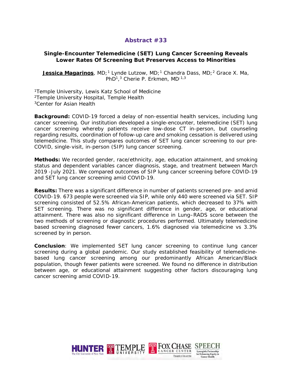#### **Single-Encounter Telemedicine (SET) Lung Cancer Screening Reveals Lower Rates Of Screening But Preserves Access to Minorities**

**Jessica Magarinos**, MD;<sup>1</sup> Lynde Lutzow, MD;<sup>1</sup> Chandra Dass, MD;<sup>2</sup> Grace X. Ma, PhD<sup>1</sup>,<sup>3</sup> Cherie P. Erkmen, MD<sup>;1,3</sup>

<sup>1</sup>Temple University, Lewis Katz School of Medicine 2Temple University Hospital, Temple Health <sup>3</sup>Center for Asian Health

**Background:** COVID-19 forced a delay of non-essential health services, including lung cancer screening. Our institution developed a single-encounter, telemedicine (SET) lung cancer screening whereby patients receive low-dose CT in-person, but counseling regarding results, coordination of follow-up care and smoking cessation is delivered using telemedicine. This study compares outcomes of SET lung cancer screening to our pre-COVID, single-visit, in-person (SIP) lung cancer screening.

**Methods:** We recorded gender, race/ethnicity, age, education attainment, and smoking status and dependent variables cancer diagnosis, stage, and treatment between March 2019 -July 2021. We compared outcomes of SIP lung cancer screening before COVID-19 and SET lung cancer screening amid COVID-19.

**Results:** There was a significant difference in number of patients screened pre- and amid COVID-19. 673 people were screened via SIP, while only 440 were screened via SET. SIP screening consisted of 52.5% African-American patients, which decreased to 37% with SET screening. There was no significant difference in gender, age, or educational attainment. There was also no significant difference in Lung–RADS score between the two methods of screening or diagnostic procedures performed. Ultimately telemedicine based screening diagnosed fewer cancers, 1.6% diagnosed via telemedicine vs 3.3% screened by in person.

**Conclusion**: We implemented SET lung cancer screening to continue lung cancer screening during a global pandemic. Our study established feasibility of telemedicinebased lung cancer screening among our predominantly African American/Black population, though fewer patients were screened. We found no difference in distribution between age, or educational attainment suggesting other factors discouraging lung cancer screening amid COVID-19.

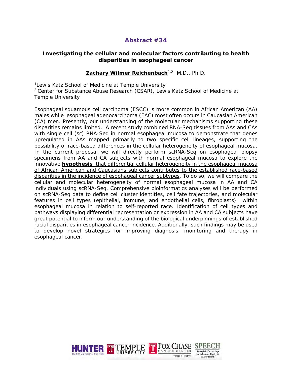#### **Investigating the cellular and molecular factors contributing to health disparities in esophageal cancer**

#### **Zachary Wilmer Reichenbach**1,2, M.D., Ph.D.

<sup>1</sup> Lewis Katz School of Medicine at Temple University

2 Center for Substance Abuse Research (CSAR), Lewis Katz School of Medicine at Temple University

Esophageal squamous cell carcinoma (ESCC) is more common in African American (AA) males while esophageal adenocarcinoma (EAC) most often occurs in Caucasian American (CA) men. Presently, our understanding of the molecular mechanisms supporting these disparities remains limited. A recent study combined RNA-Seq tissues from AAs and CAs with single cell (sc) RNA-Seq in normal esophageal mucosa to demonstrate that genes upregulated in AAs mapped primarily to two specific cell lineages, supporting the possibility of race-based differences in the cellular heterogeneity of esophageal mucosa. In the current proposal we will directly perform scRNA-Seq on esophageal biopsy specimens from AA and CA subjects with normal esophageal mucosa to explore the innovative *hypothesis that differential cellular heterogeneity in the esophageal mucosa of African American and Caucasians subjects contributes to the established race-based disparities in the incidence of esophageal cancer subtypes*. To do so, we will compare the cellular and molecular heterogeneity of normal esophageal mucosa in AA and CA individuals using scRNA-Seq. Comprehensive bioinformatics analyses will be performed on scRNA-Seq data to define cell cluster identities, cell fate trajectories, and molecular features in cell types (epithelial, immune, and endothelial cells, fibroblasts) within esophageal mucosa in relation to self-reported race. Identification of cell types and pathways displaying differential representation or expression in AA and CA subjects have great potential to inform our understanding of the biological underpinnings of established racial disparities in esophageal cancer incidence. Additionally, such findings may be used to develop novel strategies for improving diagnosis, monitoring and therapy in esophageal cancer.

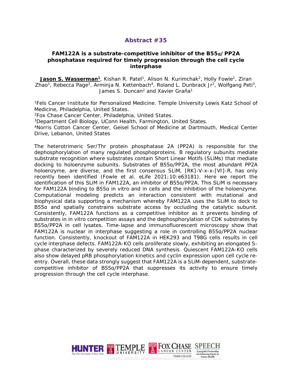#### **FAM122A is a substrate-competitive inhibitor of the B55**⍺**/PP2A phosphatase required for timely progression through the cell cycle interphase**

Jason S. Wasserman<sup>1</sup>, Kishan R. Patel<sup>1</sup>, Alison N. Kurimchak<sup>2</sup>, Holly Fowle<sup>1</sup>, Ziran Zhao<sup>1</sup>, Rebecca Page<sup>3</sup>, Arminja N. Kettenbach<sup>4</sup>, Roland L. Dunbrack Jr<sup>2</sup>, Wolfgang Peti<sup>3</sup>, James S. Duncan<sup>2</sup> and Xavier Graña<sup>1</sup>

1Fels Cancer Institute for Personalized Medicine. Temple University Lewis Katz School of Medicine, Philadelphia, United States.

2Fox Chase Cancer Center, Philadelphia, United States.

3Department Cell Biology, UConn Health, Farmington, United States.

4Norris Cotton Cancer Center, Geisel School of Medicine at Dartmouth, Medical Center Drive, Lebanon, United States

The heterotrimeric Ser/Thr protein phosphatase 2A (PP2A) is responsible for the dephosphorylation of many regulated phosphoproteins. B regulatory subunits mediate substrate recognition where substrates contain Short Linear Motifs (SLiMs) that mediate docking to holoenzyme subunits. Substrates of B55α/PP2A, the most abundant PP2A holoenzyme, are diverse, and the first consensus SLiM, [RK]-V-x-x-[VI]-R, has only recently been identified (Fowle et al. eLife 2021;10:e63181). Here we report the identification of this SLiM in FAM122A, an inhibitor of B55α/PP2A. This SLiM is necessary for FAM122A binding to B55α in vitro and in cells and the inhibition of the holoenzyme. Computational modeling predicts an interaction consistent with mutational and biophysical data supporting a mechanism whereby FAM122A uses the SLiM to dock to B55α and spatially constrains substrate access by occluding the catalytic subunit. Consistently, FAM122A functions as a competitive inhibitor as it prevents binding of substrates in in vitro competition assays and the dephosphorylation of CDK substrates by B55α/PP2A in cell lysates. Time-lapse and immunofluorescent microscopy show that FAM122A is nuclear in interphase suggesting a role in controlling B55α/PP2A nuclear function. Consistently, knockout of FAM122A in HEK293 and T98G cells results in cell cycle interphase defects. FAM122A-KO cells proliferate slowly, exhibiting an elongated Sphase characterized by severely reduced DNA synthesis. Quiescent FAM122A-KO cells also show delayed pRB phosphorylation kinetics and cyclin expression upon cell cycle reentry. Overall, these data strongly suggest that FAM122A is a SLiM-dependent, substratecompetitive inhibitor of B55α/PP2A that suppresses its activity to ensure timely progression through the cell cycle interphase.

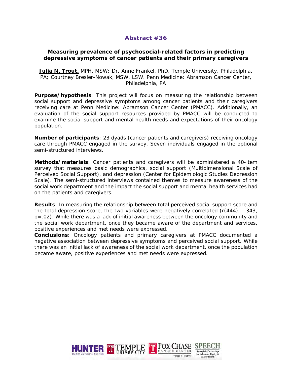#### **Measuring prevalence of psychosocial-related factors in predicting depressive symptoms of cancer patients and their primary caregivers**

**Julia N. Trout,** MPH, MSW; Dr. Anne Frankel, PhD. Temple University, Philadelphia, PA; Courtney Bresler-Nowak, MSW, LSW. Penn Medicine: Abramson Cancer Center, Philadelphia, PA

**Purpose/hypothesis**: This project will focus on measuring the relationship between social support and depressive symptoms among cancer patients and their caregivers receiving care at Penn Medicine: Abramson Cancer Center (PMACC). Additionally, an evaluation of the social support resources provided by PMACC will be conducted to examine the social support and mental health needs and expectations of their oncology population.

**Number of participants**: 23 dyads (cancer patients and caregivers) receiving oncology care through PMACC engaged in the survey. Seven individuals engaged in the optional semi-structured interviews.

**Methods/materials**: Cancer patients and caregivers will be administered a 40-item survey that measures basic demographics, social support (Multidimensional Scale of Perceived Social Support), and depression (Center for Epidemiologic Studies Depression Scale). The semi-structured interviews contained themes to measure awareness of the social work department and the impact the social support and mental health services had on the patients and caregivers.

**Results**: In measuring the relationship between total perceived social support score and the total depression score, the two variables were negatively correlated  $(r(444), -343)$ *p*=.02). While there was a lack of initial awareness between the oncology community and the social work department, once they became aware of the department and services, positive experiences and met needs were expressed.

**Conclusions**: Oncology patients and primary caregivers at PMACC documented a negative association between depressive symptoms and perceived social support. While there was an initial lack of awareness of the social work department, once the population became aware, positive experiences and met needs were expressed.

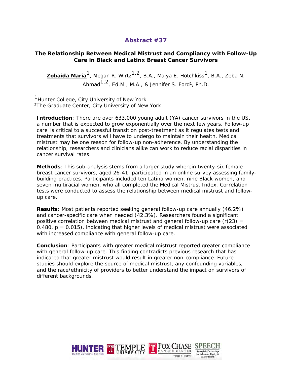#### **The Relationship Between Medical Mistrust and Compliancy with Follow-Up Care in Black and Latinx Breast Cancer Survivors**

**Zobaida Maria<sup>1</sup>**, Megan R. Wirtz<sup>1,2</sup>, B.A., Maiya E. Hotchkiss<sup>1</sup>, B.A., Zeba N. Ahmad $1,2$ , Ed.M., M.A., & Jennifer S. Ford<sup>1</sup>, Ph.D.

<sup>1</sup>Hunter College, City University of New York<br><sup>2</sup>The Graduate Center, City University of New York

**Introduction**: There are over 633,000 young adult (YA) cancer survivors in the US, a number that is expected to grow exponentially over the next few years. Follow-up care is critical to a successful transition post-treatment as it regulates tests and treatments that survivors will have to undergo to maintain their health. Medical mistrust may be one reason for follow-up non-adherence. By understanding the relationship, researchers and clinicians alike can work to reduce racial disparities in cancer survival rates.

**Methods**: This sub-analysis stems from a larger study wherein twenty-six female breast cancer survivors, aged 26-41, participated in an online survey assessing familybuilding practices. Participants included ten Latina women, nine Black women, and seven multiracial women, who all completed the Medical Mistrust Index. Correlation tests were conducted to assess the relationship between medical mistrust and followup care.

**Results**: Most patients reported seeking general follow-up care annually (46.2%) and cancer-specific care when needed (42.3%). Researchers found a significant positive correlation between medical mistrust and general follow-up care  $(r(23) =$ 0.480,  $p = 0.015$ ), indicating that higher levels of medical mistrust were associated with increased compliance with general follow-up care.

**Conclusion**: Participants with greater medical mistrust reported greater compliance with general follow-up care. This finding contradicts previous research that has indicated that greater mistrust would result in greater non-compliance. Future studies should explore the source of medical mistrust, any confounding variables, and the race/ethnicity of providers to better understand the impact on survivors of different backgrounds.

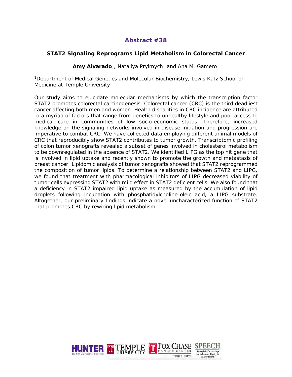#### **STAT2 Signaling Reprograms Lipid Metabolism in Colorectal Cancer**

Amy Alvarado<sup>1</sup>, Nataliya Pryimych<sup>1</sup> and Ana M. Gamero<sup>1</sup>

<sup>1</sup>Department of Medical Genetics and Molecular Biochemistry, Lewis Katz School of Medicine at Temple University

Our study aims to elucidate molecular mechanisms by which the transcription factor STAT2 promotes colorectal carcinogenesis. Colorectal cancer (CRC) is the third deadliest cancer affecting both men and women. Health disparities in CRC incidence are attributed to a myriad of factors that range from genetics to unhealthy lifestyle and poor access to medical care in communities of low socio-economic status. Therefore, increased knowledge on the signaling networks involved in disease initiation and progression are imperative to combat CRC. We have collected data employing different animal models of CRC that reproducibly show STAT2 contributes to tumor growth. Transcriptomic profiling of colon tumor xenografts revealed a subset of genes involved in cholesterol metabolism to be downregulated in the absence of STAT2. We identified LIPG as the top hit gene that is involved in lipid uptake and recently shown to promote the growth and metastasis of breast cancer. Lipidomic analysis of tumor xenografts showed that STAT2 reprogrammed the composition of tumor lipids. To determine a relationship between STAT2 and LIPG, we found that treatment with pharmacological inhibitors of LIPG decreased viability of tumor cells expressing STAT2 with mild effect in STAT2 deficient cells. We also found that a deficiency in STAT2 impaired lipid uptake as measured by the accumulation of lipid droplets following incubation with phosphatidylcholine-oleic acid, a LIPG substrate. Altogether, our preliminary findings indicate a novel uncharacterized function of STAT2 that promotes CRC by rewiring lipid metabolism.

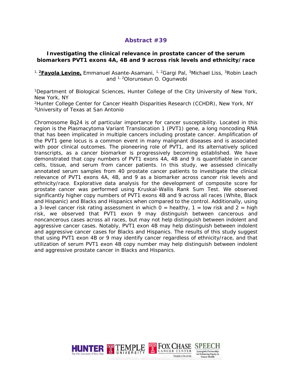#### **Investigating the clinical relevance in prostate cancer of the serum biomarkers PVT1 exons 4A, 4B and 9 across risk levels and ethnicity/race**

<sup>1, 2</sup>Fayola Levine, Emmanuel Asante-Asamani, <sup>1, 2</sup>Gargi Pal, <sup>3</sup>Michael Liss, <sup>3</sup>Robin Leach and 1, 2Olorunseun O. Ogunwobi

1Department of Biological Sciences, Hunter College of the City University of New York, New York, NY

2Hunter College Center for Cancer Health Disparities Research (CCHDR), New York, NY 3University of Texas at San Antonio

Chromosome 8q24 is of particular importance for cancer susceptibility. Located in this region is the Plasmacytoma Variant Translocation 1 (PVT1) gene, a long noncoding RNA that has been implicated in multiple cancers including prostate cancer. Amplification of the PVT1 gene locus is a common event in many malignant diseases and is associated with poor clinical outcomes. The pioneering role of PVT1, and its alternatively spliced transcripts, as a cancer biomarker is progressively becoming established. We have demonstrated that copy numbers of PVT1 exons 4A, 4B and 9 is quantifiable in cancer cells, tissue, and serum from cancer patients. In this study, we assessed clinically annotated serum samples from 40 prostate cancer patients to investigate the clinical relevance of PVT1 exons 4A, 4B, and 9 as a biomarker across cancer risk levels and ethnicity/race. Explorative data analysis for the development of composite score for prostate cancer was performed using Kruskal-Wallis Rank Sum Test. We observed significantly higher copy numbers of PVT1 exons 4B and 9 across all races (White, Black and Hispanic) and Blacks and Hispanics when compared to the control. Additionally, using a 3-level cancer risk rating assessment in which  $0 =$  healthy,  $1 =$  low risk and  $2 =$  high risk, we observed that PVT1 exon 9 may distinguish between cancerous and noncancerous cases across all races, but may not help distinguish between indolent and aggressive cancer cases. Notably, PVT1 exon 4B may help distinguish between indolent and aggressive cancer cases for Blacks and Hispanics. The results of this study suggest that using PVT1 exon 4B or 9 may identify cancer regardless of ethnicity/race, and that utilization of serum PVT1 exon 4B copy number may help distinguish between indolent and aggressive prostate cancer in Blacks and Hispanics.

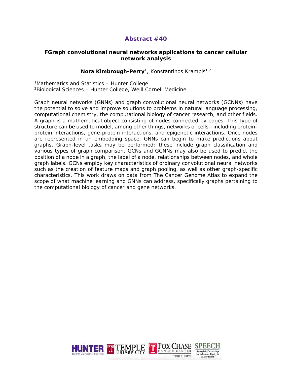#### **FGraph convolutional neural networks applications to cancer cellular network analysis**

#### Nora Kimbrough-Perry<sup>1</sup>, Konstantinos Krampis<sup>1,2</sup>

1Mathematics and Statistics – Hunter College 2Biological Sciences – Hunter College, Weill Cornell Medicine

Graph neural networks (GNNs) and graph convolutional neural networks (GCNNs) have the potential to solve and improve solutions to problems in natural language processing, computational chemistry, the computational biology of cancer research, and other fields. A graph is a mathematical object consisting of nodes connected by edges. This type of structure can be used to model, among other things, networks of cells—including proteinprotein interactions, gene-protein interactions, and epigenetic interactions. Once nodes are represented in an embedding space, GNNs can begin to make predictions about graphs. Graph-level tasks may be performed; these include graph classification and various types of graph comparison. GCNs and GCNNs may also be used to predict the position of a node in a graph, the label of a node, relationships between nodes, and whole graph labels. GCNs employ key characteristics of ordinary convolutional neural networks such as the creation of feature maps and graph pooling, as well as other graph-specific characteristics. This work draws on data from The Cancer Genome Atlas to expand the scope of what machine learning and GNNs can address, specifically graphs pertaining to the computational biology of cancer and gene networks.

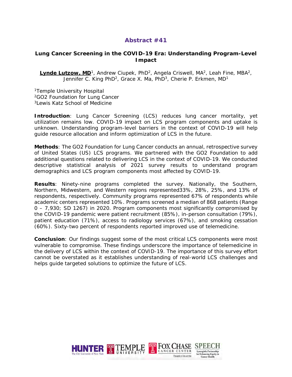#### **Lung Cancer Screening in the COVID-19 Era: Understanding Program-Level Impact**

Lynde Lutzow, MD<sup>1</sup>, Andrew Ciupek, PhD<sup>2</sup>, Angela Criswell, MA<sup>2</sup>, Leah Fine, MBA<sup>2</sup>, Jennifer C. King PhD<sup>2</sup>, Grace X. Ma, PhD<sup>3</sup>, Cherie P. Erkmen, MD<sup>1</sup>

1Temple University Hospital 2GO2 Foundation for Lung Cancer <sup>3</sup>Lewis Katz School of Medicine

**Introduction**: Lung Cancer Screening (LCS) reduces lung cancer mortality, yet utilization remains low. COVID-19 impact on LCS program components and uptake is unknown. Understanding program-level barriers in the context of COVID-19 will help guide resource allocation and inform optimization of LCS in the future.

**Methods**: The GO2 Foundation for Lung Cancer conducts an annual, retrospective survey of United States (US) LCS programs. We partnered with the GO2 Foundation to add additional questions related to delivering LCS in the context of COVID-19. We conducted descriptive statistical analysis of 2021 survey results to understand program demographics and LCS program components most affected by COVID-19.

**Results**: Ninety-nine programs completed the survey. Nationally, the Southern, Northern, Midwestern, and Western regions represented33%, 28%, 25%, and 13% of respondents, respectively. Community programs represented 67% of respondents while academic centers represented 10%. Programs screened a median of 868 patients (Range 0 – 7,930; SD 1267) in 2020. Program components most significantly compromised by the COVID-19 pandemic were patient recruitment (85%), in-person consultation (79%), patient education (71%), access to radiology services (67%), and smoking cessation (60%). Sixty-two percent of respondents reported improved use of telemedicine.

**Conclusion**: Our findings suggest some of the most critical LCS components were most vulnerable to compromise. These findings underscore the importance of telemedicine in the delivery of LCS within the context of COVID-19. The importance of this survey effort cannot be overstated as it establishes understanding of real-world LCS challenges and helps guide targeted solutions to optimize the future of LCS.

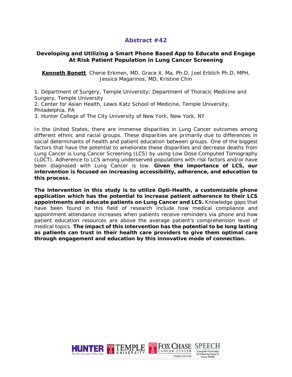#### **Developing and Utilizing a Smart Phone Based App to Educate and Engage At Risk Patient Population in Lung Cancer Screening**

**Kenneth Bonett**, Cherie Erkmen, MD, Grace X. Ma, Ph.D, Joel Erblich Ph.D, MPH, Jessica Magarinos, MD, Kristine Chin

1. Department of Surgery, Temple University; Department of Thoracic Medicine and Surgery, Temple University

2. Center for Asian Health, Lewis Katz School of Medicine, Temple University, Philadelphia, PA

3. Hunter College of The City University of New York, New York, NY

In the United States, there are immense disparities in Lung Cancer outcomes among different ethnic and racial groups. These disparities are primarily due to differences in social determinants of health and patient education between groups. One of the biggest factors that have the potential to ameliorate these disparities and decrease deaths from Lung Cancer is Lung Cancer Screening (LCS) by using Low Dose Computed Tomography (LDCT). Adherence to LCS among underserved populations with risk factors and/or have been diagnosed with Lung Cancer is low. **Given the importance of LCS, our intervention is focused on increasing accessibility, adherence, and education to this process.** 

**The intervention in this study is to utilize Opti-Health, a customizable phone application which has the potential to increase patient adherence to their LCS appointments and educate patients on Lung Cancer and LCS.** Knowledge gaps that have been found in this field of research include how medical compliance and appointment attendance increases when patients receive reminders via phone and how patient education resources are above the average patient's comprehension level of medical topics. **The impact of this intervention has the potential to be long lasting as patients can trust in their health care providers to give them optimal care through engagement and education by this innovative mode of connection.**